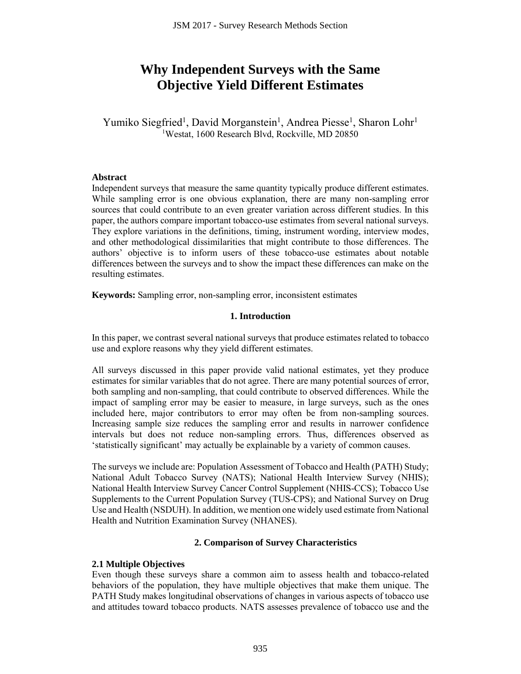# **Why Independent Surveys with the Same Objective Yield Different Estimates**

Yumiko Siegfried<sup>1</sup>, David Morganstein<sup>1</sup>, Andrea Piesse<sup>1</sup>, Sharon Lohr<sup>1</sup> <sup>1</sup>Westat, 1600 Research Blvd, Rockville, MD 20850

#### **Abstract**

Independent surveys that measure the same quantity typically produce different estimates. While sampling error is one obvious explanation, there are many non-sampling error sources that could contribute to an even greater variation across different studies. In this paper, the authors compare important tobacco-use estimates from several national surveys. They explore variations in the definitions, timing, instrument wording, interview modes, and other methodological dissimilarities that might contribute to those differences. The authors' objective is to inform users of these tobacco-use estimates about notable differences between the surveys and to show the impact these differences can make on the resulting estimates. JSM 2017 - Survey Research Methods Section<br> **Independent Surveys with the**<br> **Independent Surveys with the**<br> **Ijective Yield Different Estima**<br>
ed<sup>1</sup>, David Morganstein<sup>1</sup>, Andrea Piessestat, 1600 Research Blvd, Rockville,

**Keywords:** Sampling error, non-sampling error, inconsistent estimates

## **1. Introduction**

In this paper, we contrast several national surveys that produce estimates related to tobacco use and explore reasons why they yield different estimates.

All surveys discussed in this paper provide valid national estimates, yet they produce estimates for similar variables that do not agree. There are many potential sources of error, both sampling and non-sampling, that could contribute to observed differences. While the impact of sampling error may be easier to measure, in large surveys, such as the ones included here, major contributors to error may often be from non-sampling sources. Increasing sample size reduces the sampling error and results in narrower confidence intervals but does not reduce non-sampling errors. Thus, differences observed as 'statistically significant' may actually be explainable by a variety of common causes.

The surveys we include are: Population Assessment of Tobacco and Health (PATH) Study; National Adult Tobacco Survey (NATS); National Health Interview Survey (NHIS); National Health Interview Survey Cancer Control Supplement (NHIS-CCS); Tobacco Use Supplements to the Current Population Survey (TUS-CPS); and National Survey on Drug Use and Health (NSDUH). In addition, we mention one widely used estimate from National Health and Nutrition Examination Survey (NHANES).

## **2. Comparison of Survey Characteristics**

## **2.1 Multiple Objectives**

Even though these surveys share a common aim to assess health and tobacco-related behaviors of the population, they have multiple objectives that make them unique. The PATH Study makes longitudinal observations of changes in various aspects of tobacco use and attitudes toward tobacco products. NATS assesses prevalence of tobacco use and the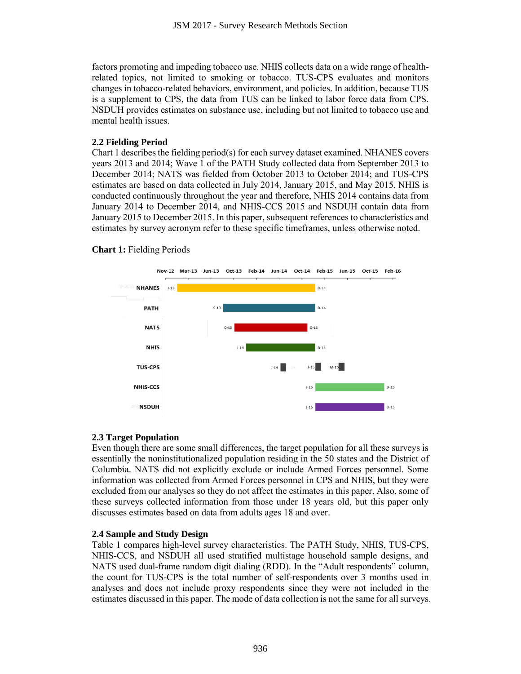factors promoting and impeding tobacco use. NHIS collects data on a wide range of healthrelated topics, not limited to smoking or tobacco. TUS-CPS evaluates and monitors changes in tobacco-related behaviors, environment, and policies. In addition, because TUS is a supplement to CPS, the data from TUS can be linked to labor force data from CPS. NSDUH provides estimates on substance use, including but not limited to tobacco use and mental health issues.

## **2.2 Fielding Period**

Chart 1 describes the fielding period(s) for each survey dataset examined. NHANES covers years 2013 and 2014; Wave 1 of the PATH Study collected data from September 2013 to December 2014; NATS was fielded from October 2013 to October 2014; and TUS-CPS estimates are based on data collected in July 2014, January 2015, and May 2015. NHIS is conducted continuously throughout the year and therefore, NHIS 2014 contains data from January 2014 to December 2014, and NHIS-CCS 2015 and NSDUH contain data from January 2015 to December 2015. In this paper, subsequent references to characteristics and estimates by survey acronym refer to these specific timeframes, unless otherwise noted.



## **Chart 1:** Fielding Periods

## **2.3 Target Population**

Even though there are some small differences, the target population for all these surveys is essentially the noninstitutionalized population residing in the 50 states and the District of Columbia. NATS did not explicitly exclude or include Armed Forces personnel. Some information was collected from Armed Forces personnel in CPS and NHIS, but they were excluded from our analyses so they do not affect the estimates in this paper. Also, some of these surveys collected information from those under 18 years old, but this paper only discusses estimates based on data from adults ages 18 and over.

# **2.4 Sample and Study Design**

Table 1 compares high-level survey characteristics. The PATH Study, NHIS, TUS-CPS, NHIS-CCS, and NSDUH all used stratified multistage household sample designs, and NATS used dual-frame random digit dialing (RDD). In the "Adult respondents" column, the count for TUS-CPS is the total number of self-respondents over 3 months used in analyses and does not include proxy respondents since they were not included in the estimates discussed in this paper. The mode of data collection is not the same for all surveys.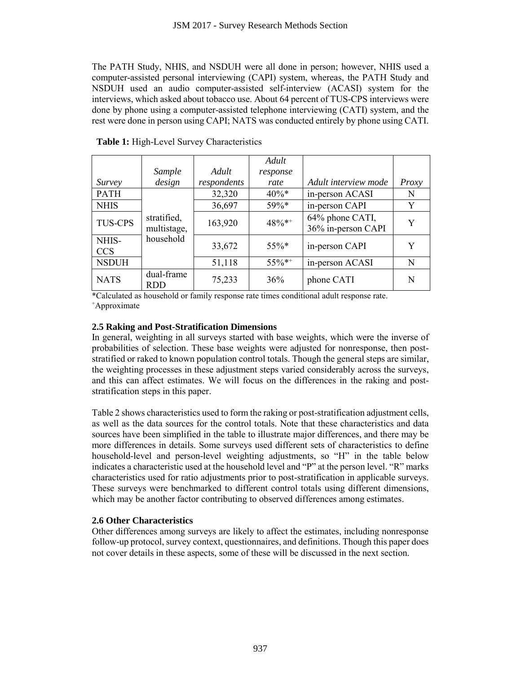|                            |                                                                         | JSM 2017 - Survey Research Methods Section        |              |                                                                                                                                                                                                                                                                                                                                                                                                                                                                                                                                                                                                                                                                                                                                                                                                                                                                                                                                                                                                                                                                                                                                                                                                                                                         |        |
|----------------------------|-------------------------------------------------------------------------|---------------------------------------------------|--------------|---------------------------------------------------------------------------------------------------------------------------------------------------------------------------------------------------------------------------------------------------------------------------------------------------------------------------------------------------------------------------------------------------------------------------------------------------------------------------------------------------------------------------------------------------------------------------------------------------------------------------------------------------------------------------------------------------------------------------------------------------------------------------------------------------------------------------------------------------------------------------------------------------------------------------------------------------------------------------------------------------------------------------------------------------------------------------------------------------------------------------------------------------------------------------------------------------------------------------------------------------------|--------|
|                            |                                                                         | <b>Table 1:</b> High-Level Survey Characteristics |              | The PATH Study, NHIS, and NSDUH were all done in person; however, NHIS used a<br>computer-assisted personal interviewing (CAPI) system, whereas, the PATH Study and<br>NSDUH used an audio computer-assisted self-interview (ACASI) system for the<br>interviews, which asked about tobacco use. About 64 percent of TUS-CPS interviews were<br>done by phone using a computer-assisted telephone interviewing (CATI) system, and the<br>rest were done in person using CAPI; NATS was conducted entirely by phone using CATI.                                                                                                                                                                                                                                                                                                                                                                                                                                                                                                                                                                                                                                                                                                                          |        |
|                            |                                                                         |                                                   |              |                                                                                                                                                                                                                                                                                                                                                                                                                                                                                                                                                                                                                                                                                                                                                                                                                                                                                                                                                                                                                                                                                                                                                                                                                                                         |        |
|                            |                                                                         |                                                   | Adult        |                                                                                                                                                                                                                                                                                                                                                                                                                                                                                                                                                                                                                                                                                                                                                                                                                                                                                                                                                                                                                                                                                                                                                                                                                                                         |        |
|                            | Sample                                                                  | Adult                                             | response     |                                                                                                                                                                                                                                                                                                                                                                                                                                                                                                                                                                                                                                                                                                                                                                                                                                                                                                                                                                                                                                                                                                                                                                                                                                                         |        |
| <b>Survey</b>              | design                                                                  | respondents                                       | rate<br>40%* | Adult interview mode                                                                                                                                                                                                                                                                                                                                                                                                                                                                                                                                                                                                                                                                                                                                                                                                                                                                                                                                                                                                                                                                                                                                                                                                                                    | Proxy  |
| <b>PATH</b><br><b>NHIS</b> |                                                                         | 32,320<br>36,697                                  | 59%*         | in-person ACASI<br>in-person CAPI                                                                                                                                                                                                                                                                                                                                                                                                                                                                                                                                                                                                                                                                                                                                                                                                                                                                                                                                                                                                                                                                                                                                                                                                                       | N<br>Y |
| <b>TUS-CPS</b>             | stratified,<br>multistage,                                              | 163,920                                           | 48%**        | 64% phone CATI,<br>36% in-person CAPI                                                                                                                                                                                                                                                                                                                                                                                                                                                                                                                                                                                                                                                                                                                                                                                                                                                                                                                                                                                                                                                                                                                                                                                                                   | Y      |
| NHIS-<br><b>CCS</b>        | household                                                               | 33,672                                            | 55%*         | in-person CAPI                                                                                                                                                                                                                                                                                                                                                                                                                                                                                                                                                                                                                                                                                                                                                                                                                                                                                                                                                                                                                                                                                                                                                                                                                                          | Y      |
| <b>NSDUH</b>               |                                                                         | 51,118                                            | 55%*+        | in-person ACASI                                                                                                                                                                                                                                                                                                                                                                                                                                                                                                                                                                                                                                                                                                                                                                                                                                                                                                                                                                                                                                                                                                                                                                                                                                         | N      |
| <b>NATS</b>                | dual-frame<br><b>RDD</b>                                                | 75,233                                            | 36%          | phone CATI                                                                                                                                                                                                                                                                                                                                                                                                                                                                                                                                                                                                                                                                                                                                                                                                                                                                                                                                                                                                                                                                                                                                                                                                                                              | N      |
|                            | stratification steps in this paper.<br><b>2.6 Other Characteristics</b> |                                                   |              | probabilities of selection. These base weights were adjusted for nonresponse, then post-<br>stratified or raked to known population control totals. Though the general steps are similar,<br>the weighting processes in these adjustment steps varied considerably across the surveys,<br>and this can affect estimates. We will focus on the differences in the raking and post-<br>Table 2 shows characteristics used to form the raking or post-stratification adjustment cells,<br>as well as the data sources for the control totals. Note that these characteristics and data<br>sources have been simplified in the table to illustrate major differences, and there may be<br>more differences in details. Some surveys used different sets of characteristics to define<br>household-level and person-level weighting adjustments, so "H" in the table below<br>indicates a characteristic used at the household level and "P" at the person level. "R" marks<br>characteristics used for ratio adjustments prior to post-stratification in applicable surveys.<br>These surveys were benchmarked to different control totals using different dimensions,<br>which may be another factor contributing to observed differences among estimates. |        |
|                            |                                                                         |                                                   |              | Other differences among surveys are likely to affect the estimates, including nonresponse<br>follow-up protocol, survey context, questionnaires, and definitions. Though this paper does<br>not cover details in these aspects, some of these will be discussed in the next section.                                                                                                                                                                                                                                                                                                                                                                                                                                                                                                                                                                                                                                                                                                                                                                                                                                                                                                                                                                    |        |
|                            |                                                                         |                                                   | 937          |                                                                                                                                                                                                                                                                                                                                                                                                                                                                                                                                                                                                                                                                                                                                                                                                                                                                                                                                                                                                                                                                                                                                                                                                                                                         |        |

**Table 1:** High-Level Survey Characteristics

#### **2.5 Raking and Post-Stratification Dimensions**

## **2.6 Other Characteristics**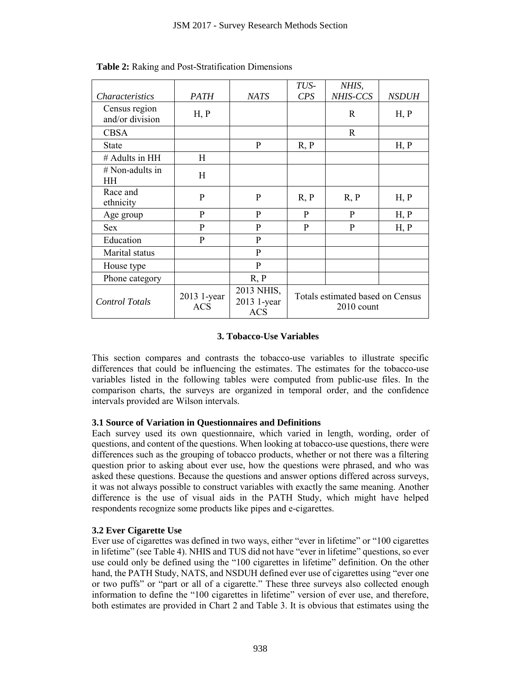|                                                                                                                                                                                                                                                                                                                                                                                                                                                                                                                                                                                                                                                                                                                                                                                   | JSM 2017 - Survey Research Methods Section |                                         |             |                                                |              |
|-----------------------------------------------------------------------------------------------------------------------------------------------------------------------------------------------------------------------------------------------------------------------------------------------------------------------------------------------------------------------------------------------------------------------------------------------------------------------------------------------------------------------------------------------------------------------------------------------------------------------------------------------------------------------------------------------------------------------------------------------------------------------------------|--------------------------------------------|-----------------------------------------|-------------|------------------------------------------------|--------------|
|                                                                                                                                                                                                                                                                                                                                                                                                                                                                                                                                                                                                                                                                                                                                                                                   |                                            |                                         |             |                                                |              |
| <b>Table 2:</b> Raking and Post-Stratification Dimensions                                                                                                                                                                                                                                                                                                                                                                                                                                                                                                                                                                                                                                                                                                                         |                                            |                                         |             |                                                |              |
| Characteristics                                                                                                                                                                                                                                                                                                                                                                                                                                                                                                                                                                                                                                                                                                                                                                   | <b>PATH</b>                                | <b>NATS</b>                             | TUS-<br>CPS | NHIS,<br>NHIS-CCS                              | <b>NSDUH</b> |
| Census region<br>and/or division                                                                                                                                                                                                                                                                                                                                                                                                                                                                                                                                                                                                                                                                                                                                                  | H, P                                       |                                         |             | $\mathbf R$                                    | H, P         |
| <b>CBSA</b>                                                                                                                                                                                                                                                                                                                                                                                                                                                                                                                                                                                                                                                                                                                                                                       |                                            |                                         |             | $\mathbf R$                                    |              |
| <b>State</b>                                                                                                                                                                                                                                                                                                                                                                                                                                                                                                                                                                                                                                                                                                                                                                      |                                            | P                                       | R, P        |                                                | H, P         |
| # Adults in HH                                                                                                                                                                                                                                                                                                                                                                                                                                                                                                                                                                                                                                                                                                                                                                    | H                                          |                                         |             |                                                |              |
| # Non-adults in<br>HH                                                                                                                                                                                                                                                                                                                                                                                                                                                                                                                                                                                                                                                                                                                                                             | H                                          |                                         |             |                                                |              |
| Race and<br>ethnicity                                                                                                                                                                                                                                                                                                                                                                                                                                                                                                                                                                                                                                                                                                                                                             | P                                          | P                                       | R, P        | R, P                                           | H, P         |
| Age group                                                                                                                                                                                                                                                                                                                                                                                                                                                                                                                                                                                                                                                                                                                                                                         | P                                          | P                                       | P           | P                                              | H, P         |
| <b>Sex</b>                                                                                                                                                                                                                                                                                                                                                                                                                                                                                                                                                                                                                                                                                                                                                                        | P                                          | $\mathbf{P}$                            | P           | $\mathbf{P}$                                   | H, P         |
| Education                                                                                                                                                                                                                                                                                                                                                                                                                                                                                                                                                                                                                                                                                                                                                                         | P                                          | $\mathbf{P}$                            |             |                                                |              |
| Marital status                                                                                                                                                                                                                                                                                                                                                                                                                                                                                                                                                                                                                                                                                                                                                                    |                                            | $\mathbf{P}$                            |             |                                                |              |
| House type                                                                                                                                                                                                                                                                                                                                                                                                                                                                                                                                                                                                                                                                                                                                                                        |                                            | $\mathbf{P}$                            |             |                                                |              |
| Phone category                                                                                                                                                                                                                                                                                                                                                                                                                                                                                                                                                                                                                                                                                                                                                                    |                                            | R, P                                    |             |                                                |              |
| <b>Control Totals</b>                                                                                                                                                                                                                                                                                                                                                                                                                                                                                                                                                                                                                                                                                                                                                             | 2013 1-year<br><b>ACS</b>                  | 2013 NHIS,<br>2013 1-year<br><b>ACS</b> |             | Totals estimated based on Census<br>2010 count |              |
| This section compares and contrasts the tobacco-use variables to illustrate specific<br>differences that could be influencing the estimates. The estimates for the tobacco-use<br>variables listed in the following tables were computed from public-use files. In the<br>comparison charts, the surveys are organized in temporal order, and the confidence<br>intervals provided are Wilson intervals.                                                                                                                                                                                                                                                                                                                                                                          |                                            |                                         |             |                                                |              |
| 3.1 Source of Variation in Questionnaires and Definitions<br>Each survey used its own questionnaire, which varied in length, wording, order of<br>questions, and content of the questions. When looking at tobacco-use questions, there were<br>differences such as the grouping of tobacco products, whether or not there was a filtering<br>question prior to asking about ever use, how the questions were phrased, and who was<br>asked these questions. Because the questions and answer options differed across surveys,<br>it was not always possible to construct variables with exactly the same meaning. Another<br>difference is the use of visual aids in the PATH Study, which might have helped<br>respondents recognize some products like pipes and e-cigarettes. |                                            |                                         |             |                                                |              |
| 3.2 Ever Cigarette Use<br>Ever use of cigarettes was defined in two ways, either "ever in lifetime" or "100 cigarettes<br>in lifetime" (see Table 4). NHIS and TUS did not have "ever in lifetime" questions, so ever<br>use could only be defined using the "100 cigarettes in lifetime" definition. On the other<br>hand, the PATH Study, NATS, and NSDUH defined ever use of cigarettes using "ever one<br>or two puffs" or "part or all of a cigarette." These three surveys also collected enough<br>information to define the "100 cigarettes in lifetime" version of ever use, and therefore,<br>both estimates are provided in Chart 2 and Table 3. It is obvious that estimates using the                                                                                |                                            |                                         |             |                                                |              |
|                                                                                                                                                                                                                                                                                                                                                                                                                                                                                                                                                                                                                                                                                                                                                                                   |                                            | 938                                     |             |                                                |              |

**Table 2:** Raking and Post-Stratification Dimensions

# **3. Tobacco-Use Variables**

# **3.1 Source of Variation in Questionnaires and Definitions**

## **3.2 Ever Cigarette Use**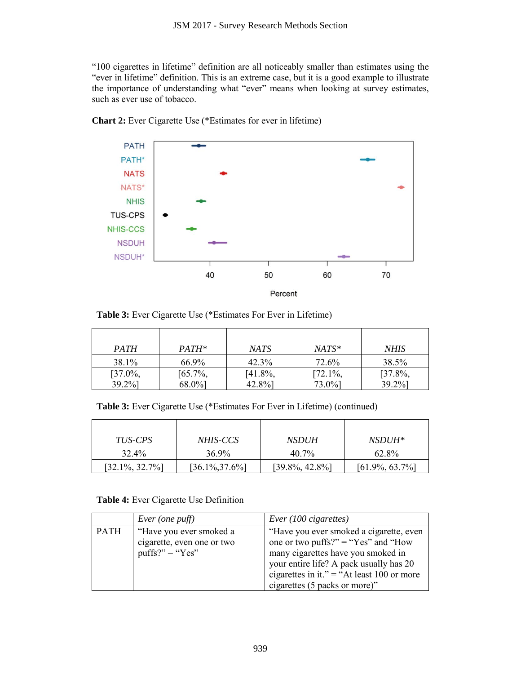"100 cigarettes in lifetime" definition are all noticeably smaller than estimates using the "ever in lifetime" definition. This is an extreme case, but it is a good example to illustrate the importance of understanding what "ever" means when looking at survey estimates, such as ever use of tobacco.





**Table 3:** Ever Cigarette Use (\*Estimates For Ever in Lifetime)

| <b>PATH</b>          | PATH*                | NATS                 | $NATS^*$             | <b>NHIS</b>              |
|----------------------|----------------------|----------------------|----------------------|--------------------------|
| 38.1%                | 66.9%                | $42.3\%$             | 72.6%                | 38.5%                    |
| $[37.0\%,$<br>39.2%] | $[65.7\%,$<br>68.0%] | $[41.8\%,$<br>42.8%] | $[72.1\%,$<br>73.0%] | $[37.8\%,$<br>$39.2\%$ ] |

**Table 3:** Ever Cigarette Use (\*Estimates For Ever in Lifetime) (continued)

| <i>TUS-CPS</i>     | <i>NHIS-CCS</i>    | <i>NSDUH</i>       | <i>NSDUH*</i>      |
|--------------------|--------------------|--------------------|--------------------|
| 32.4%              | 36.9%              | 40.7%              | 62.8%              |
| $[32.1\%, 32.7\%]$ | $[36.1\%, 37.6\%]$ | $[39.8\%, 42.8\%]$ | $[61.9\%, 63.7\%]$ |

# **Table 4:** Ever Cigarette Use Definition

|      | Ever (one puff)                                                            | Ever $(100$ cigarettes)                                                                                                                                                                                                                        |
|------|----------------------------------------------------------------------------|------------------------------------------------------------------------------------------------------------------------------------------------------------------------------------------------------------------------------------------------|
| PATH | "Have you ever smoked a<br>cigarette, even one or two<br>$puffs?" = "Yes"$ | "Have you ever smoked a cigarette, even<br>one or two puffs?" = "Yes" and "How<br>many cigarettes have you smoked in<br>your entire life? A pack usually has 20<br>cigarettes in it." = "At least 100 or more<br>cigarettes (5 packs or more)" |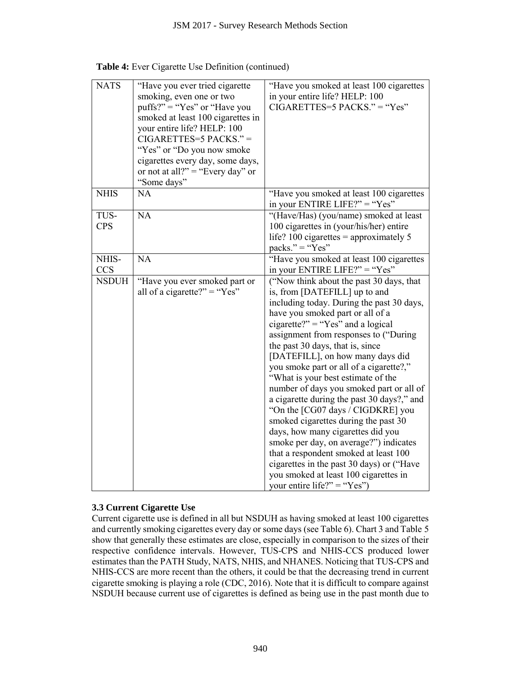|                     | JSM 2017 - Survey Research Methods Section                                                                                                                                                                                                                                                                           |                                                                                                                                                                                                                                                                                                                                                                                                                                                                                                                                                                                                                                                                                                                                                                                                                        |
|---------------------|----------------------------------------------------------------------------------------------------------------------------------------------------------------------------------------------------------------------------------------------------------------------------------------------------------------------|------------------------------------------------------------------------------------------------------------------------------------------------------------------------------------------------------------------------------------------------------------------------------------------------------------------------------------------------------------------------------------------------------------------------------------------------------------------------------------------------------------------------------------------------------------------------------------------------------------------------------------------------------------------------------------------------------------------------------------------------------------------------------------------------------------------------|
|                     | <b>Table 4:</b> Ever Cigarette Use Definition (continued)                                                                                                                                                                                                                                                            |                                                                                                                                                                                                                                                                                                                                                                                                                                                                                                                                                                                                                                                                                                                                                                                                                        |
| <b>NATS</b>         | "Have you ever tried cigarette<br>smoking, even one or two<br>$puffs?" = "Yes"$ or "Have you<br>smoked at least 100 cigarettes in<br>your entire life? HELP: 100<br>$CIGARETTES=5$ $PACKS." =$<br>"Yes" or "Do you now smoke"<br>cigarettes every day, some days,<br>or not at all?" = "Every day" or<br>"Some days" | "Have you smoked at least 100 cigarettes<br>in your entire life? HELP: 100<br>$CIGARETTES=5$ PACKS." = "Yes"                                                                                                                                                                                                                                                                                                                                                                                                                                                                                                                                                                                                                                                                                                           |
| <b>NHIS</b>         | <b>NA</b>                                                                                                                                                                                                                                                                                                            | "Have you smoked at least 100 cigarettes<br>in your ENTIRE LIFE?" = "Yes"                                                                                                                                                                                                                                                                                                                                                                                                                                                                                                                                                                                                                                                                                                                                              |
| TUS-<br><b>CPS</b>  | <b>NA</b>                                                                                                                                                                                                                                                                                                            | "(Have/Has) (you/name) smoked at least<br>100 cigarettes in (your/his/her) entire<br>life? 100 cigarettes = approximately 5<br>packs." = " $Yes"$                                                                                                                                                                                                                                                                                                                                                                                                                                                                                                                                                                                                                                                                      |
| NHIS-<br><b>CCS</b> | <b>NA</b>                                                                                                                                                                                                                                                                                                            | "Have you smoked at least 100 cigarettes<br>in your ENTIRE LIFE?" = "Yes"                                                                                                                                                                                                                                                                                                                                                                                                                                                                                                                                                                                                                                                                                                                                              |
| <b>NSDUH</b>        | "Have you ever smoked part or<br>all of a cigarette?" = "Yes"                                                                                                                                                                                                                                                        | ("Now think about the past 30 days, that<br>is, from [DATEFILL] up to and<br>including today. During the past 30 days,<br>have you smoked part or all of a<br>cigarette?" = "Yes" and a logical<br>assignment from responses to ("During"<br>the past 30 days, that is, since<br>[DATEFILL], on how many days did<br>you smoke part or all of a cigarette?,"<br>"What is your best estimate of the<br>number of days you smoked part or all of<br>a cigarette during the past 30 days?," and<br>"On the [CG07 days / CIGDKRE] you<br>smoked cigarettes during the past 30<br>days, how many cigarettes did you<br>smoke per day, on average?") indicates<br>that a respondent smoked at least 100<br>cigarettes in the past 30 days) or ("Have<br>you smoked at least 100 cigarettes in<br>your entire life?" = "Yes") |
|                     | 3.3 Current Cigarette Use                                                                                                                                                                                                                                                                                            | Current cigarette use is defined in all but NSDUH as having smoked at least 100 cigarettes<br>and currently smoking cigarettes every day or some days (see Table 6). Chart 3 and Table 5<br>show that generally these estimates are close, especially in comparison to the sizes of their<br>respective confidence intervals. However, TUS-CPS and NHIS-CCS produced lower<br>estimates than the PATH Study, NATS, NHIS, and NHANES. Noticing that TUS-CPS and<br>NHIS-CCS are more recent than the others, it could be that the decreasing trend in current<br>cigarette smoking is playing a role (CDC, 2016). Note that it is difficult to compare against<br>NSDUH because current use of cigarettes is defined as being use in the past month due to                                                              |
|                     | 940                                                                                                                                                                                                                                                                                                                  |                                                                                                                                                                                                                                                                                                                                                                                                                                                                                                                                                                                                                                                                                                                                                                                                                        |

|  |  |  |  |  | Table 4: Ever Cigarette Use Definition (continued) |
|--|--|--|--|--|----------------------------------------------------|
|--|--|--|--|--|----------------------------------------------------|

# **3.3 Current Cigarette Use**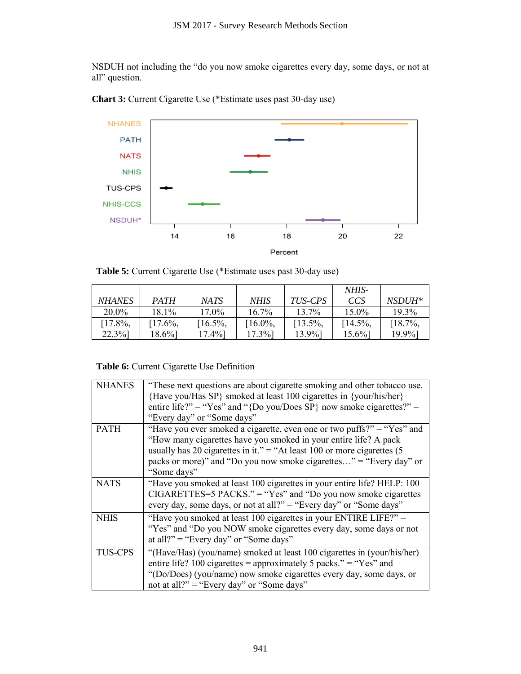

**Table 5:** Current Cigarette Use (\*Estimate uses past 30-day use)

|               |             |            |            |                | NHIS-      |               |
|---------------|-------------|------------|------------|----------------|------------|---------------|
| <b>NHANES</b> | <b>PATH</b> | NATS       | NHIS       | <i>TUS-CPS</i> | CCS        | <i>NSDUH*</i> |
| $20.0\%$      | $18.1\%$    | $17.0\%$   | $16.7\%$   | $13.7\%$       | $15.0\%$   | $19.3\%$      |
| $17.8\%$ ,    | $[17.6\%,$  | $[16.5\%,$ | $[16.0\%,$ | $[13.5\%,$     | $[14.5\%]$ | $[18.7\%,$    |
| $22.3\%$ ]    | 18.6%]      | 17.4%]     | 17.3%]     | 13.9%]         | $15.6\%$   | 19.9%]        |

# **Table 6:** Current Cigarette Use Definition

| Chart 3: Current Cigarette Use (*Estimate uses past 30-day use)<br><b>NHANES</b><br><b>PATH</b><br><b>NATS</b><br><b>NHIS</b><br><b>TUS-CPS</b><br><b>NHIS-CCS</b><br>NSDUH*<br>14<br><b>Table 5:</b> Current Cigarette Use (*Estimate uses past 30-day use)<br><b>NHANES</b><br><b>PATH</b><br>20.0%<br>18.1%<br>$[17.8\%,$<br>$[17.6\%,$<br>$22.3\%$<br>$18.6\%$<br>Table 6: Current Cigarette Use Definition<br><b>NHANES</b><br>"These next questions are about cigarette smoking and other tobacco use.<br>{Have you/Has SP} smoked at least 100 cigarettes in {your/his/her}<br>entire life?" = "Yes" and "{Do you/Does SP} now smoke cigarettes?" =<br>"Every day" or "Some days"<br>"Have you ever smoked a cigarette, even one or two puffs?" = "Yes" and<br><b>PATH</b><br>"How many cigarettes have you smoked in your entire life? A pack | 16<br><b>NATS</b><br>17.0%<br>$[16.5\%,$<br>$17.4\%$                                                                                   | <b>NHIS</b><br>16.7%<br>$[16.0\%,$<br>$17.3\%$ | 18<br>Percent<br>TUS-CPS<br>13.7%<br>$[13.5\%,$<br>13.9%]                 | 20<br>NHIS-<br>CCS<br>15.0%<br>$[14.5\%,$<br>$15.6\%$ | 22<br>NSDUH*<br>19.3%<br>$[18.7\%,$<br>19.9%] |  |
|-------------------------------------------------------------------------------------------------------------------------------------------------------------------------------------------------------------------------------------------------------------------------------------------------------------------------------------------------------------------------------------------------------------------------------------------------------------------------------------------------------------------------------------------------------------------------------------------------------------------------------------------------------------------------------------------------------------------------------------------------------------------------------------------------------------------------------------------------------|----------------------------------------------------------------------------------------------------------------------------------------|------------------------------------------------|---------------------------------------------------------------------------|-------------------------------------------------------|-----------------------------------------------|--|
|                                                                                                                                                                                                                                                                                                                                                                                                                                                                                                                                                                                                                                                                                                                                                                                                                                                       |                                                                                                                                        |                                                |                                                                           |                                                       |                                               |  |
|                                                                                                                                                                                                                                                                                                                                                                                                                                                                                                                                                                                                                                                                                                                                                                                                                                                       |                                                                                                                                        |                                                |                                                                           |                                                       |                                               |  |
|                                                                                                                                                                                                                                                                                                                                                                                                                                                                                                                                                                                                                                                                                                                                                                                                                                                       |                                                                                                                                        |                                                |                                                                           |                                                       |                                               |  |
|                                                                                                                                                                                                                                                                                                                                                                                                                                                                                                                                                                                                                                                                                                                                                                                                                                                       |                                                                                                                                        |                                                |                                                                           |                                                       |                                               |  |
|                                                                                                                                                                                                                                                                                                                                                                                                                                                                                                                                                                                                                                                                                                                                                                                                                                                       |                                                                                                                                        |                                                |                                                                           |                                                       |                                               |  |
|                                                                                                                                                                                                                                                                                                                                                                                                                                                                                                                                                                                                                                                                                                                                                                                                                                                       |                                                                                                                                        |                                                |                                                                           |                                                       |                                               |  |
|                                                                                                                                                                                                                                                                                                                                                                                                                                                                                                                                                                                                                                                                                                                                                                                                                                                       |                                                                                                                                        |                                                |                                                                           |                                                       |                                               |  |
|                                                                                                                                                                                                                                                                                                                                                                                                                                                                                                                                                                                                                                                                                                                                                                                                                                                       |                                                                                                                                        |                                                |                                                                           |                                                       |                                               |  |
|                                                                                                                                                                                                                                                                                                                                                                                                                                                                                                                                                                                                                                                                                                                                                                                                                                                       |                                                                                                                                        |                                                |                                                                           |                                                       |                                               |  |
|                                                                                                                                                                                                                                                                                                                                                                                                                                                                                                                                                                                                                                                                                                                                                                                                                                                       |                                                                                                                                        |                                                |                                                                           |                                                       |                                               |  |
|                                                                                                                                                                                                                                                                                                                                                                                                                                                                                                                                                                                                                                                                                                                                                                                                                                                       |                                                                                                                                        |                                                |                                                                           |                                                       |                                               |  |
|                                                                                                                                                                                                                                                                                                                                                                                                                                                                                                                                                                                                                                                                                                                                                                                                                                                       |                                                                                                                                        |                                                |                                                                           |                                                       |                                               |  |
|                                                                                                                                                                                                                                                                                                                                                                                                                                                                                                                                                                                                                                                                                                                                                                                                                                                       |                                                                                                                                        |                                                |                                                                           |                                                       |                                               |  |
|                                                                                                                                                                                                                                                                                                                                                                                                                                                                                                                                                                                                                                                                                                                                                                                                                                                       |                                                                                                                                        |                                                |                                                                           |                                                       |                                               |  |
|                                                                                                                                                                                                                                                                                                                                                                                                                                                                                                                                                                                                                                                                                                                                                                                                                                                       |                                                                                                                                        |                                                |                                                                           |                                                       |                                               |  |
|                                                                                                                                                                                                                                                                                                                                                                                                                                                                                                                                                                                                                                                                                                                                                                                                                                                       |                                                                                                                                        |                                                |                                                                           |                                                       |                                               |  |
|                                                                                                                                                                                                                                                                                                                                                                                                                                                                                                                                                                                                                                                                                                                                                                                                                                                       |                                                                                                                                        |                                                |                                                                           |                                                       |                                               |  |
|                                                                                                                                                                                                                                                                                                                                                                                                                                                                                                                                                                                                                                                                                                                                                                                                                                                       |                                                                                                                                        |                                                |                                                                           |                                                       |                                               |  |
|                                                                                                                                                                                                                                                                                                                                                                                                                                                                                                                                                                                                                                                                                                                                                                                                                                                       |                                                                                                                                        |                                                |                                                                           |                                                       |                                               |  |
|                                                                                                                                                                                                                                                                                                                                                                                                                                                                                                                                                                                                                                                                                                                                                                                                                                                       |                                                                                                                                        |                                                |                                                                           |                                                       |                                               |  |
|                                                                                                                                                                                                                                                                                                                                                                                                                                                                                                                                                                                                                                                                                                                                                                                                                                                       |                                                                                                                                        |                                                | usually has 20 cigarettes in it." = "At least 100 or more cigarettes $(5$ |                                                       |                                               |  |
| packs or more)" and "Do you now smoke cigarettes" = "Every day" or<br>"Some days"                                                                                                                                                                                                                                                                                                                                                                                                                                                                                                                                                                                                                                                                                                                                                                     |                                                                                                                                        |                                                |                                                                           |                                                       |                                               |  |
| "Have you smoked at least 100 cigarettes in your entire life? HELP: 100<br><b>NATS</b>                                                                                                                                                                                                                                                                                                                                                                                                                                                                                                                                                                                                                                                                                                                                                                |                                                                                                                                        |                                                |                                                                           |                                                       |                                               |  |
| $CIGARETTES=5$ $PACKS." = "Yes"$ and "Do you now smoke cigarettes"                                                                                                                                                                                                                                                                                                                                                                                                                                                                                                                                                                                                                                                                                                                                                                                    |                                                                                                                                        |                                                |                                                                           |                                                       |                                               |  |
| <b>NHIS</b>                                                                                                                                                                                                                                                                                                                                                                                                                                                                                                                                                                                                                                                                                                                                                                                                                                           | every day, some days, or not at all?" = "Every day" or "Some days"<br>"Have you smoked at least 100 cigarettes in your ENTIRE LIFE?" = |                                                |                                                                           |                                                       |                                               |  |
| "Yes" and "Do you NOW smoke cigarettes every day, some days or not<br>at all?" = "Every day" or "Some days"                                                                                                                                                                                                                                                                                                                                                                                                                                                                                                                                                                                                                                                                                                                                           |                                                                                                                                        |                                                |                                                                           |                                                       |                                               |  |
| <b>TUS-CPS</b><br>"(Have/Has) (you/name) smoked at least 100 cigarettes in (your/his/her)                                                                                                                                                                                                                                                                                                                                                                                                                                                                                                                                                                                                                                                                                                                                                             |                                                                                                                                        |                                                |                                                                           |                                                       |                                               |  |
| entire life? 100 cigarettes = approximately 5 packs." = "Yes" and<br>"(Do/Does) (you/name) now smoke cigarettes every day, some days, or                                                                                                                                                                                                                                                                                                                                                                                                                                                                                                                                                                                                                                                                                                              |                                                                                                                                        |                                                |                                                                           |                                                       |                                               |  |
| not at all?" = "Every day" or "Some days"                                                                                                                                                                                                                                                                                                                                                                                                                                                                                                                                                                                                                                                                                                                                                                                                             |                                                                                                                                        |                                                |                                                                           |                                                       |                                               |  |
|                                                                                                                                                                                                                                                                                                                                                                                                                                                                                                                                                                                                                                                                                                                                                                                                                                                       |                                                                                                                                        |                                                |                                                                           |                                                       |                                               |  |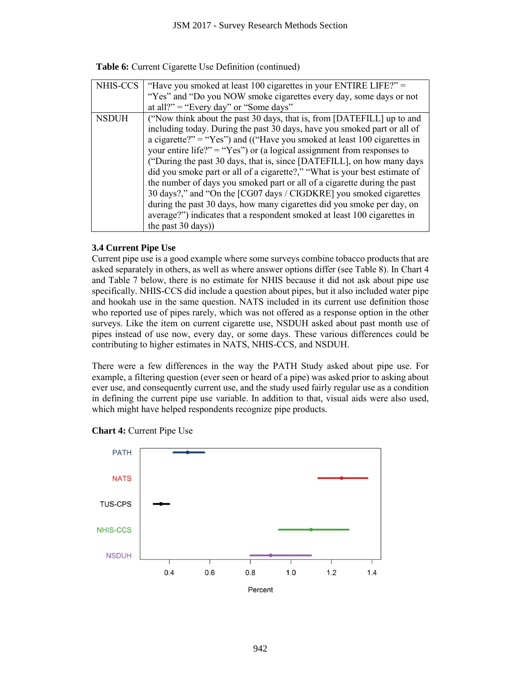|  |  | Table 6: Current Cigarette Use Definition (continued) |  |
|--|--|-------------------------------------------------------|--|
|  |  |                                                       |  |

| NHIS-CCS     | "Have you smoked at least 100 cigarettes in your ENTIRE LIFE?" =           |
|--------------|----------------------------------------------------------------------------|
|              | "Yes" and "Do you NOW smoke cigarettes every day, some days or not         |
|              | at all?" = "Every day" or "Some days"                                      |
| <b>NSDUH</b> | ("Now think about the past 30 days, that is, from [DATEFILL] up to and     |
|              | including today. During the past 30 days, have you smoked part or all of   |
|              | a cigarette?" = "Yes") and (("Have you smoked at least 100 cigarettes in   |
|              | your entire life?" = "Yes") or (a logical assignment from responses to     |
|              | ("During the past 30 days, that is, since [DATEFILL], on how many days     |
|              | did you smoke part or all of a cigarette?," "What is your best estimate of |
|              | the number of days you smoked part or all of a cigarette during the past   |
|              | 30 days?," and "On the [CG07 days / CIGDKRE] you smoked cigarettes         |
|              | during the past 30 days, how many cigarettes did you smoke per day, on     |
|              | average?") indicates that a respondent smoked at least 100 cigarettes in   |
|              | the past 30 days))                                                         |

# **3.4 Current Pipe Use**

Current pipe use is a good example where some surveys combine tobacco products that are asked separately in others, as well as where answer options differ (see Table 8). In Chart 4 and Table 7 below, there is no estimate for NHIS because it did not ask about pipe use specifically. NHIS-CCS did include a question about pipes, but it also included water pipe and hookah use in the same question. NATS included in its current use definition those who reported use of pipes rarely, which was not offered as a response option in the other surveys. Like the item on current cigarette use, NSDUH asked about past month use of pipes instead of use now, every day, or some days. These various differences could be contributing to higher estimates in NATS, NHIS-CCS, and NSDUH.

There were a few differences in the way the PATH Study asked about pipe use. For example, a filtering question (ever seen or heard of a pipe) was asked prior to asking about ever use, and consequently current use, and the study used fairly regular use as a condition in defining the current pipe use variable. In addition to that, visual aids were also used, which might have helped respondents recognize pipe products.



**Chart 4:** Current Pipe Use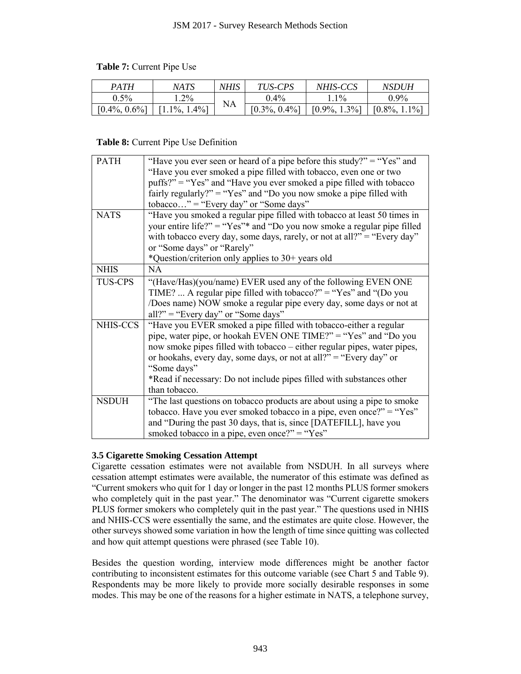# **Table 7:** Current Pipe Use

| <b>PATH</b>      | NATS               | NHIS | TUS-CPS          | NHIS-CCS               | NSDUH             |
|------------------|--------------------|------|------------------|------------------------|-------------------|
| 0.5%             | $1.2\%$            |      | $0.4\%$          | $1\%$                  | $0.9\%$           |
| $[0.4\%, 0.6\%]$ | $1.4\%$ ]<br>10/0, | NA   | $[0.3\%, 0.4\%]$ | $1.3%$ ]<br>$10.9\%$ , | $10.8\%$<br>$1\%$ |

## **Table 8:** Current Pipe Use Definition

|                  |                                                                                                                                                                                                                                                                                                                                                                                                                                                                                                                                                                                                                                                                                                                                                                       |             | JSM 2017 - Survey Research Methods Section |                  |                  |  |  |
|------------------|-----------------------------------------------------------------------------------------------------------------------------------------------------------------------------------------------------------------------------------------------------------------------------------------------------------------------------------------------------------------------------------------------------------------------------------------------------------------------------------------------------------------------------------------------------------------------------------------------------------------------------------------------------------------------------------------------------------------------------------------------------------------------|-------------|--------------------------------------------|------------------|------------------|--|--|
|                  | Table 7: Current Pipe Use                                                                                                                                                                                                                                                                                                                                                                                                                                                                                                                                                                                                                                                                                                                                             |             |                                            |                  |                  |  |  |
| <b>PATH</b>      | <b>NATS</b>                                                                                                                                                                                                                                                                                                                                                                                                                                                                                                                                                                                                                                                                                                                                                           | <b>NHIS</b> | TUS-CPS                                    | NHIS-CCS         | <b>NSDUH</b>     |  |  |
| 0.5%             | 1.2%                                                                                                                                                                                                                                                                                                                                                                                                                                                                                                                                                                                                                                                                                                                                                                  | <b>NA</b>   | 0.4%                                       | 1.1%             | 0.9%             |  |  |
| $[0.4\%, 0.6\%]$ | $[1.1\%, 1.4\%]$                                                                                                                                                                                                                                                                                                                                                                                                                                                                                                                                                                                                                                                                                                                                                      |             | $[0.3\%, 0.4\%]$                           | $[0.9\%, 1.3\%]$ | $[0.8\%, 1.1\%]$ |  |  |
|                  | <b>Table 8:</b> Current Pipe Use Definition                                                                                                                                                                                                                                                                                                                                                                                                                                                                                                                                                                                                                                                                                                                           |             |                                            |                  |                  |  |  |
| <b>PATH</b>      | "Have you ever seen or heard of a pipe before this study?" = "Yes" and<br>"Have you ever smoked a pipe filled with tobacco, even one or two<br>puffs?" = "Yes" and "Have you ever smoked a pipe filled with tobacco<br>fairly regularly?" = "Yes" and "Do you now smoke a pipe filled with<br>$tobacco$ " = "Every day" or "Some days"                                                                                                                                                                                                                                                                                                                                                                                                                                |             |                                            |                  |                  |  |  |
| <b>NATS</b>      | "Have you smoked a regular pipe filled with tobacco at least 50 times in<br>your entire life?" = "Yes"* and "Do you now smoke a regular pipe filled<br>with tobacco every day, some days, rarely, or not at all?" = "Every day"<br>or "Some days" or "Rarely"<br>*Question/criterion only applies to 30+ years old                                                                                                                                                                                                                                                                                                                                                                                                                                                    |             |                                            |                  |                  |  |  |
| <b>NHIS</b>      | <b>NA</b>                                                                                                                                                                                                                                                                                                                                                                                                                                                                                                                                                                                                                                                                                                                                                             |             |                                            |                  |                  |  |  |
| <b>TUS-CPS</b>   | "(Have/Has)(you/name) EVER used any of the following EVEN ONE<br>TIME?  A regular pipe filled with tobacco?" = "Yes" and "(Do you<br>/Does name) NOW smoke a regular pipe every day, some days or not at<br>$all?"$ = "Every day" or "Some days"                                                                                                                                                                                                                                                                                                                                                                                                                                                                                                                      |             |                                            |                  |                  |  |  |
| NHIS-CCS         | "Have you EVER smoked a pipe filled with tobacco-either a regular<br>pipe, water pipe, or hookah EVEN ONE TIME?" = "Yes" and "Do you<br>now smoke pipes filled with tobacco – either regular pipes, water pipes,<br>or hookahs, every day, some days, or not at all?" = "Every day" or<br>"Some days"<br>*Read if necessary: Do not include pipes filled with substances other<br>than tobacco.<br>"The last questions on tobacco products are about using a pipe to smoke                                                                                                                                                                                                                                                                                            |             |                                            |                  |                  |  |  |
| <b>NSDUH</b>     | tobacco. Have you ever smoked tobacco in a pipe, even once?" = "Yes"<br>and "During the past 30 days, that is, since [DATEFILL], have you<br>smoked tobacco in a pipe, even once?" = "Yes"                                                                                                                                                                                                                                                                                                                                                                                                                                                                                                                                                                            |             |                                            |                  |                  |  |  |
|                  | <b>3.5 Cigarette Smoking Cessation Attempt</b><br>Cigarette cessation estimates were not available from NSDUH. In all surveys where<br>cessation attempt estimates were available, the numerator of this estimate was defined as<br>"Current smokers who quit for 1 day or longer in the past 12 months PLUS former smokers<br>who completely quit in the past year." The denominator was "Current cigarette smokers<br>PLUS former smokers who completely quit in the past year." The questions used in NHIS<br>and NHIS-CCS were essentially the same, and the estimates are quite close. However, the<br>other surveys showed some variation in how the length of time since quitting was collected<br>and how quit attempt questions were phrased (see Table 10). |             |                                            |                  |                  |  |  |
|                  | Besides the question wording, interview mode differences might be another factor<br>contributing to inconsistent estimates for this outcome variable (see Chart 5 and Table 9).<br>Respondents may be more likely to provide more socially desirable responses in some<br>modes. This may be one of the reasons for a higher estimate in NATS, a telephone survey,                                                                                                                                                                                                                                                                                                                                                                                                    |             |                                            |                  |                  |  |  |
|                  |                                                                                                                                                                                                                                                                                                                                                                                                                                                                                                                                                                                                                                                                                                                                                                       |             | 943                                        |                  |                  |  |  |

# **3.5 Cigarette Smoking Cessation Attempt**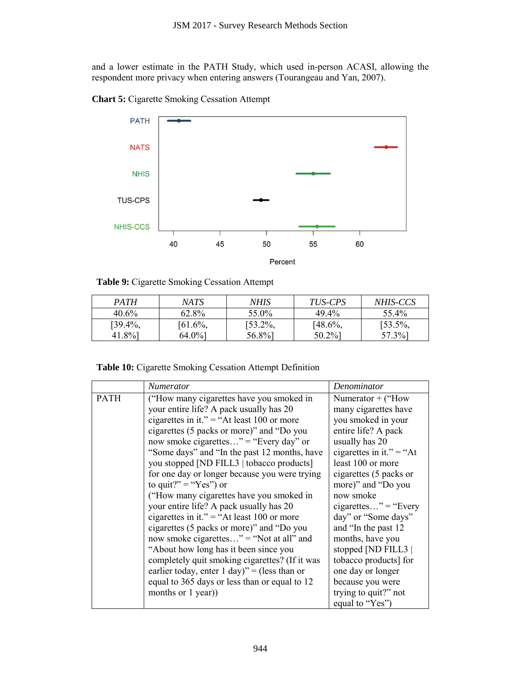



**Table 9:** Cigarette Smoking Cessation Attempt

| <b>PATH</b> | NATS.      | NHIS        | <i>TUS-CPS</i> | <i>NHIS-CCS</i> |
|-------------|------------|-------------|----------------|-----------------|
| $40.6\%$    | 62.8%      | 55.0%       | $49.4\%$       | 55.4%           |
| $[39.4\%,$  | $[61.6\%,$ | $153.2\%$ , | $[48.6\%,$     | $[53.5\%,$      |
| 41.8%       | 64.0%      | 56.8%]      | 50.2%]         | 57.3%]          |

**Table 10:** Cigarette Smoking Cessation Attempt Definition

| respondent more privacy when entering answers (Tourangeau and Yan, 2007). |                                                                                                                                                                                                                                                                                                                                                                                                                                                                                                                                                                                                                                                                                                                                                                                                                                                    |    |                      |                          |                                                | and a lower estimate in the PATH Study, which used in-person ACASI, allowing the                                                                                                                                                                                                                                                                                                                        |
|---------------------------------------------------------------------------|----------------------------------------------------------------------------------------------------------------------------------------------------------------------------------------------------------------------------------------------------------------------------------------------------------------------------------------------------------------------------------------------------------------------------------------------------------------------------------------------------------------------------------------------------------------------------------------------------------------------------------------------------------------------------------------------------------------------------------------------------------------------------------------------------------------------------------------------------|----|----------------------|--------------------------|------------------------------------------------|---------------------------------------------------------------------------------------------------------------------------------------------------------------------------------------------------------------------------------------------------------------------------------------------------------------------------------------------------------------------------------------------------------|
| <b>Chart 5: Cigarette Smoking Cessation Attempt</b>                       |                                                                                                                                                                                                                                                                                                                                                                                                                                                                                                                                                                                                                                                                                                                                                                                                                                                    |    |                      |                          |                                                |                                                                                                                                                                                                                                                                                                                                                                                                         |
| <b>PATH</b>                                                               |                                                                                                                                                                                                                                                                                                                                                                                                                                                                                                                                                                                                                                                                                                                                                                                                                                                    |    |                      |                          |                                                |                                                                                                                                                                                                                                                                                                                                                                                                         |
| <b>NATS</b>                                                               |                                                                                                                                                                                                                                                                                                                                                                                                                                                                                                                                                                                                                                                                                                                                                                                                                                                    |    |                      |                          |                                                |                                                                                                                                                                                                                                                                                                                                                                                                         |
| <b>NHIS</b>                                                               |                                                                                                                                                                                                                                                                                                                                                                                                                                                                                                                                                                                                                                                                                                                                                                                                                                                    |    |                      |                          |                                                |                                                                                                                                                                                                                                                                                                                                                                                                         |
|                                                                           |                                                                                                                                                                                                                                                                                                                                                                                                                                                                                                                                                                                                                                                                                                                                                                                                                                                    |    |                      |                          |                                                |                                                                                                                                                                                                                                                                                                                                                                                                         |
| <b>TUS-CPS</b>                                                            |                                                                                                                                                                                                                                                                                                                                                                                                                                                                                                                                                                                                                                                                                                                                                                                                                                                    |    |                      |                          |                                                |                                                                                                                                                                                                                                                                                                                                                                                                         |
| <b>NHIS-CCS</b>                                                           |                                                                                                                                                                                                                                                                                                                                                                                                                                                                                                                                                                                                                                                                                                                                                                                                                                                    |    |                      |                          |                                                |                                                                                                                                                                                                                                                                                                                                                                                                         |
|                                                                           | 40                                                                                                                                                                                                                                                                                                                                                                                                                                                                                                                                                                                                                                                                                                                                                                                                                                                 | 45 | 50                   | 55                       | 60                                             |                                                                                                                                                                                                                                                                                                                                                                                                         |
|                                                                           |                                                                                                                                                                                                                                                                                                                                                                                                                                                                                                                                                                                                                                                                                                                                                                                                                                                    |    | Percent              |                          |                                                |                                                                                                                                                                                                                                                                                                                                                                                                         |
| Table 9: Cigarette Smoking Cessation Attempt                              |                                                                                                                                                                                                                                                                                                                                                                                                                                                                                                                                                                                                                                                                                                                                                                                                                                                    |    |                      |                          |                                                |                                                                                                                                                                                                                                                                                                                                                                                                         |
| <b>PATH</b>                                                               | <b>NATS</b>                                                                                                                                                                                                                                                                                                                                                                                                                                                                                                                                                                                                                                                                                                                                                                                                                                        |    | <b>NHIS</b>          |                          | TUS-CPS                                        | NHIS-CCS                                                                                                                                                                                                                                                                                                                                                                                                |
| 40.6%                                                                     | 62.8%                                                                                                                                                                                                                                                                                                                                                                                                                                                                                                                                                                                                                                                                                                                                                                                                                                              |    | 55.0%                | 49.4%                    |                                                | 55.4%                                                                                                                                                                                                                                                                                                                                                                                                   |
| $[39.4\%,$<br>41.8%                                                       | $[61.6\%,$<br>64.0%]                                                                                                                                                                                                                                                                                                                                                                                                                                                                                                                                                                                                                                                                                                                                                                                                                               |    | $[53.2\%,$<br>56.8%] | $[48.6\%,$<br>$50.2\%$ ] |                                                | $[53.5\%,$<br>57.3%]                                                                                                                                                                                                                                                                                                                                                                                    |
| Table 10: Cigarette Smoking Cessation Attempt Definition                  |                                                                                                                                                                                                                                                                                                                                                                                                                                                                                                                                                                                                                                                                                                                                                                                                                                                    |    |                      |                          |                                                |                                                                                                                                                                                                                                                                                                                                                                                                         |
|                                                                           | Numerator                                                                                                                                                                                                                                                                                                                                                                                                                                                                                                                                                                                                                                                                                                                                                                                                                                          |    |                      |                          | Denominator                                    |                                                                                                                                                                                                                                                                                                                                                                                                         |
| <b>PATH</b>                                                               | "How many cigarettes have you smoked in<br>your entire life? A pack usually has 20<br>cigarettes in it." = "At least 100 or more<br>cigarettes (5 packs or more)" and "Do you<br>now smoke cigarettes" = "Every day" or<br>"Some days" and "In the past 12 months, have<br>you stopped [ND FILL3   tobacco products]<br>for one day or longer because you were trying<br>to quit?" = " $Yes$ ") or<br>("How many cigarettes have you smoked in<br>your entire life? A pack usually has 20<br>cigarettes in it." = "At least 100 or more<br>cigarettes (5 packs or more)" and "Do you<br>now smoke cigarettes" = "Not at all" and<br>"About how long has it been since you<br>completely quit smoking cigarettes? (If it was<br>earlier today, enter 1 day)" = (less than or<br>equal to 365 days or less than or equal to 12<br>months or 1 year)) |    |                      |                          | usually has 20<br>now smoke<br>equal to "Yes") | Numerator $+$ ("How<br>many cigarettes have<br>you smoked in your<br>entire life? A pack<br>cigarettes in it." = "At<br>least 100 or more<br>cigarettes (5 packs or<br>more)" and "Do you<br>$cigarettes$ " = "Every<br>day" or "Some days"<br>and "In the past 12<br>months, have you<br>stopped [ND FILL3  <br>tobacco products] for<br>one day or longer<br>because you were<br>trying to quit?" not |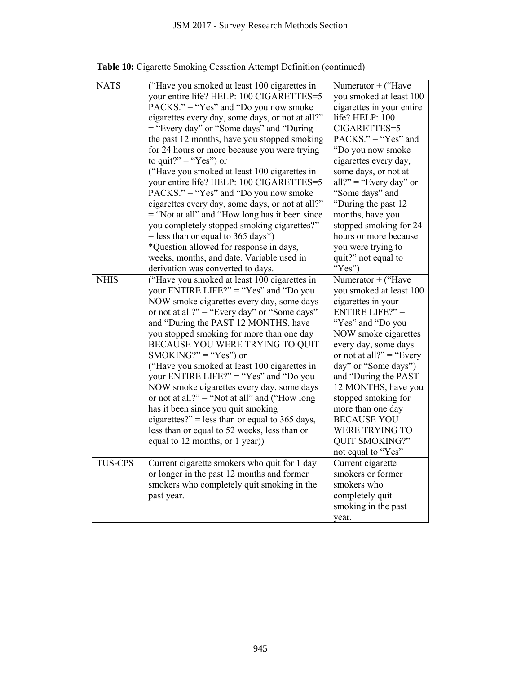|                | JSM 2017 - Survey Research Methods Section                                                                                                                                                                                                                                                                                                                                                                                                                                                                                                                                                                                                                                                                                                                                                                                           |                                                                                                                                                                                                                                                                                                                                                                                                                 |
|----------------|--------------------------------------------------------------------------------------------------------------------------------------------------------------------------------------------------------------------------------------------------------------------------------------------------------------------------------------------------------------------------------------------------------------------------------------------------------------------------------------------------------------------------------------------------------------------------------------------------------------------------------------------------------------------------------------------------------------------------------------------------------------------------------------------------------------------------------------|-----------------------------------------------------------------------------------------------------------------------------------------------------------------------------------------------------------------------------------------------------------------------------------------------------------------------------------------------------------------------------------------------------------------|
|                |                                                                                                                                                                                                                                                                                                                                                                                                                                                                                                                                                                                                                                                                                                                                                                                                                                      |                                                                                                                                                                                                                                                                                                                                                                                                                 |
|                | <b>Table 10:</b> Cigarette Smoking Cessation Attempt Definition (continued)                                                                                                                                                                                                                                                                                                                                                                                                                                                                                                                                                                                                                                                                                                                                                          |                                                                                                                                                                                                                                                                                                                                                                                                                 |
| <b>NATS</b>    | ("Have you smoked at least 100 cigarettes in<br>your entire life? HELP: 100 CIGARETTES=5<br>$PACKS." = "Yes"$ and "Do you now smoke"<br>cigarettes every day, some days, or not at all?"<br>= "Every day" or "Some days" and "During"<br>the past 12 months, have you stopped smoking<br>for 24 hours or more because you were trying<br>to quit?" = " $Yes$ ") or<br>("Have you smoked at least 100 cigarettes in<br>your entire life? HELP: 100 CIGARETTES=5<br>$PACKS." = "Yes"$ and "Do you now smoke"<br>cigarettes every day, some days, or not at all?"<br>= "Not at all" and "How long has it been since<br>you completely stopped smoking cigarettes?"<br>$=$ less than or equal to 365 days*)<br>*Question allowed for response in days,<br>weeks, months, and date. Variable used in<br>derivation was converted to days. | Numerator + ("Have<br>you smoked at least 100<br>cigarettes in your entire<br>life? HELP: 100<br>CIGARETTES=5<br>$PACKS." = "Yes"$ and<br>"Do you now smoke"<br>cigarettes every day,<br>some days, or not at<br>all?" = "Every day" or<br>"Some days" and<br>"During the past 12<br>months, have you<br>stopped smoking for 24<br>hours or more because<br>you were trying to<br>quit?" not equal to<br>"Yes") |
| <b>NHIS</b>    | ("Have you smoked at least 100 cigarettes in<br>your ENTIRE LIFE?" = "Yes" and "Do you<br>NOW smoke cigarettes every day, some days<br>or not at all?" = "Every day" or "Some days"<br>and "During the PAST 12 MONTHS, have<br>you stopped smoking for more than one day<br>BECAUSE YOU WERE TRYING TO QUIT<br>SMOKING?" = "Yes") or<br>("Have you smoked at least 100 cigarettes in<br>your ENTIRE LIFE?" = "Yes" and "Do you<br>NOW smoke cigarettes every day, some days<br>or not at all?" = "Not at all" and ("How long<br>has it been since you quit smoking<br>cigarettes?" = less than or equal to 365 days,<br>less than or equal to 52 weeks, less than or<br>equal to 12 months, or 1 year))                                                                                                                              | Numerator + ("Have<br>you smoked at least 100<br>cigarettes in your<br>ENTIRE LIFE?" $=$<br>"Yes" and "Do you<br>NOW smoke cigarettes<br>every day, some days<br>or not at all?" = "Every"<br>day" or "Some days")<br>and "During the PAST<br>12 MONTHS, have you<br>stopped smoking for<br>more than one day<br><b>BECAUSE YOU</b><br><b>WERE TRYING TO</b><br><b>QUIT SMOKING?"</b><br>not equal to "Yes"     |
| <b>TUS-CPS</b> | Current cigarette smokers who quit for 1 day<br>or longer in the past 12 months and former<br>smokers who completely quit smoking in the<br>past year.                                                                                                                                                                                                                                                                                                                                                                                                                                                                                                                                                                                                                                                                               | Current cigarette<br>smokers or former<br>smokers who<br>completely quit<br>smoking in the past<br>year.                                                                                                                                                                                                                                                                                                        |
|                | 945                                                                                                                                                                                                                                                                                                                                                                                                                                                                                                                                                                                                                                                                                                                                                                                                                                  |                                                                                                                                                                                                                                                                                                                                                                                                                 |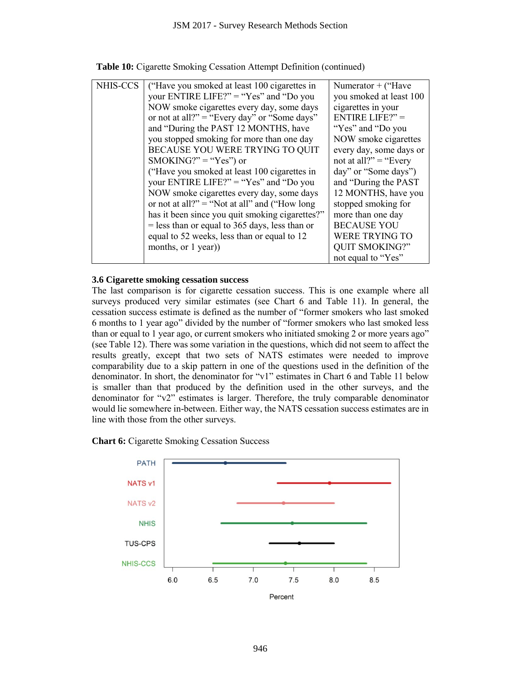|                                                                                                                                                                                                                                                                                                                                                                                                                                                                                                                                                                                                                                                                                                                                                                                                                                                                                                                                                                                                                                                                                                                                                                                                            |                     |                                                                                                               |     | JSM 2017 - Survey Research Methods Section                                                                                                                                                                                                                                                                                                                                                                                                                                                                                                                         |     |                                                                                                                                                                                                                                                                                |     |                                                                                                                            |
|------------------------------------------------------------------------------------------------------------------------------------------------------------------------------------------------------------------------------------------------------------------------------------------------------------------------------------------------------------------------------------------------------------------------------------------------------------------------------------------------------------------------------------------------------------------------------------------------------------------------------------------------------------------------------------------------------------------------------------------------------------------------------------------------------------------------------------------------------------------------------------------------------------------------------------------------------------------------------------------------------------------------------------------------------------------------------------------------------------------------------------------------------------------------------------------------------------|---------------------|---------------------------------------------------------------------------------------------------------------|-----|--------------------------------------------------------------------------------------------------------------------------------------------------------------------------------------------------------------------------------------------------------------------------------------------------------------------------------------------------------------------------------------------------------------------------------------------------------------------------------------------------------------------------------------------------------------------|-----|--------------------------------------------------------------------------------------------------------------------------------------------------------------------------------------------------------------------------------------------------------------------------------|-----|----------------------------------------------------------------------------------------------------------------------------|
| <b>Table 10:</b> Cigarette Smoking Cessation Attempt Definition (continued)                                                                                                                                                                                                                                                                                                                                                                                                                                                                                                                                                                                                                                                                                                                                                                                                                                                                                                                                                                                                                                                                                                                                |                     |                                                                                                               |     |                                                                                                                                                                                                                                                                                                                                                                                                                                                                                                                                                                    |     |                                                                                                                                                                                                                                                                                |     |                                                                                                                            |
| NHIS-CCS                                                                                                                                                                                                                                                                                                                                                                                                                                                                                                                                                                                                                                                                                                                                                                                                                                                                                                                                                                                                                                                                                                                                                                                                   | months, or 1 year)) | and "During the PAST 12 MONTHS, have<br>$SMOKING?" = "Yes"$ or<br>equal to 52 weeks, less than or equal to 12 |     | ("Have you smoked at least 100 cigarettes in<br>your ENTIRE LIFE?" = "Yes" and "Do you<br>NOW smoke cigarettes every day, some days<br>or not at all?" = "Every day" or "Some days"<br>you stopped smoking for more than one day<br>BECAUSE YOU WERE TRYING TO QUIT<br>("Have you smoked at least 100 cigarettes in<br>your ENTIRE LIFE?" = "Yes" and "Do you<br>NOW smoke cigarettes every day, some days<br>or not at all?" = "Not at all" and ("How long<br>has it been since you quit smoking cigarettes?"<br>$=$ less than or equal to 365 days, less than or |     | Numerator + ("Have<br>cigarettes in your<br>ENTIRE LIFE?" $=$<br>"Yes" and "Do you<br>not at all?" = "Every"<br>day" or "Some days")<br>stopped smoking for<br>more than one day<br><b>BECAUSE YOU</b><br><b>WERE TRYING TO</b><br><b>QUIT SMOKING?"</b><br>not equal to "Yes" |     | you smoked at least 100<br>NOW smoke cigarettes<br>every day, some days or<br>and "During the PAST"<br>12 MONTHS, have you |
| 3.6 Cigarette smoking cessation success<br>The last comparison is for cigarette cessation success. This is one example where all<br>surveys produced very similar estimates (see Chart 6 and Table 11). In general, the<br>cessation success estimate is defined as the number of "former smokers who last smoked<br>6 months to 1 year ago" divided by the number of "former smokers who last smoked less<br>than or equal to 1 year ago, or current smokers who initiated smoking 2 or more years ago"<br>(see Table 12). There was some variation in the questions, which did not seem to affect the<br>results greatly, except that two sets of NATS estimates were needed to improve<br>comparability due to a skip pattern in one of the questions used in the definition of the<br>denominator. In short, the denominator for "v1" estimates in Chart 6 and Table 11 below<br>is smaller than that produced by the definition used in the other surveys, and the<br>denominator for " $v2$ " estimates is larger. Therefore, the truly comparable denominator<br>would lie somewhere in-between. Either way, the NATS cessation success estimates are in<br>line with those from the other surveys. |                     |                                                                                                               |     |                                                                                                                                                                                                                                                                                                                                                                                                                                                                                                                                                                    |     |                                                                                                                                                                                                                                                                                |     |                                                                                                                            |
| <b>Chart 6:</b> Cigarette Smoking Cessation Success                                                                                                                                                                                                                                                                                                                                                                                                                                                                                                                                                                                                                                                                                                                                                                                                                                                                                                                                                                                                                                                                                                                                                        |                     |                                                                                                               |     |                                                                                                                                                                                                                                                                                                                                                                                                                                                                                                                                                                    |     |                                                                                                                                                                                                                                                                                |     |                                                                                                                            |
| <b>PATH</b>                                                                                                                                                                                                                                                                                                                                                                                                                                                                                                                                                                                                                                                                                                                                                                                                                                                                                                                                                                                                                                                                                                                                                                                                |                     |                                                                                                               |     |                                                                                                                                                                                                                                                                                                                                                                                                                                                                                                                                                                    |     |                                                                                                                                                                                                                                                                                |     |                                                                                                                            |
| <b>NATS v1</b>                                                                                                                                                                                                                                                                                                                                                                                                                                                                                                                                                                                                                                                                                                                                                                                                                                                                                                                                                                                                                                                                                                                                                                                             |                     |                                                                                                               |     |                                                                                                                                                                                                                                                                                                                                                                                                                                                                                                                                                                    |     |                                                                                                                                                                                                                                                                                |     |                                                                                                                            |
| NATS <sub>v2</sub>                                                                                                                                                                                                                                                                                                                                                                                                                                                                                                                                                                                                                                                                                                                                                                                                                                                                                                                                                                                                                                                                                                                                                                                         |                     |                                                                                                               |     |                                                                                                                                                                                                                                                                                                                                                                                                                                                                                                                                                                    |     |                                                                                                                                                                                                                                                                                |     |                                                                                                                            |
| <b>NHIS</b>                                                                                                                                                                                                                                                                                                                                                                                                                                                                                                                                                                                                                                                                                                                                                                                                                                                                                                                                                                                                                                                                                                                                                                                                |                     |                                                                                                               |     |                                                                                                                                                                                                                                                                                                                                                                                                                                                                                                                                                                    |     |                                                                                                                                                                                                                                                                                |     |                                                                                                                            |
| <b>TUS-CPS</b>                                                                                                                                                                                                                                                                                                                                                                                                                                                                                                                                                                                                                                                                                                                                                                                                                                                                                                                                                                                                                                                                                                                                                                                             |                     |                                                                                                               |     |                                                                                                                                                                                                                                                                                                                                                                                                                                                                                                                                                                    |     |                                                                                                                                                                                                                                                                                |     |                                                                                                                            |
| <b>NHIS-CCS</b>                                                                                                                                                                                                                                                                                                                                                                                                                                                                                                                                                                                                                                                                                                                                                                                                                                                                                                                                                                                                                                                                                                                                                                                            |                     |                                                                                                               |     |                                                                                                                                                                                                                                                                                                                                                                                                                                                                                                                                                                    |     |                                                                                                                                                                                                                                                                                |     |                                                                                                                            |
|                                                                                                                                                                                                                                                                                                                                                                                                                                                                                                                                                                                                                                                                                                                                                                                                                                                                                                                                                                                                                                                                                                                                                                                                            | 6.0                 | 6.5                                                                                                           | 7.0 | 7.5                                                                                                                                                                                                                                                                                                                                                                                                                                                                                                                                                                | 8.0 |                                                                                                                                                                                                                                                                                | 8.5 |                                                                                                                            |
|                                                                                                                                                                                                                                                                                                                                                                                                                                                                                                                                                                                                                                                                                                                                                                                                                                                                                                                                                                                                                                                                                                                                                                                                            |                     |                                                                                                               |     | Percent                                                                                                                                                                                                                                                                                                                                                                                                                                                                                                                                                            |     |                                                                                                                                                                                                                                                                                |     |                                                                                                                            |
|                                                                                                                                                                                                                                                                                                                                                                                                                                                                                                                                                                                                                                                                                                                                                                                                                                                                                                                                                                                                                                                                                                                                                                                                            |                     |                                                                                                               |     |                                                                                                                                                                                                                                                                                                                                                                                                                                                                                                                                                                    |     |                                                                                                                                                                                                                                                                                |     |                                                                                                                            |
|                                                                                                                                                                                                                                                                                                                                                                                                                                                                                                                                                                                                                                                                                                                                                                                                                                                                                                                                                                                                                                                                                                                                                                                                            |                     |                                                                                                               | 946 |                                                                                                                                                                                                                                                                                                                                                                                                                                                                                                                                                                    |     |                                                                                                                                                                                                                                                                                |     |                                                                                                                            |

## **3.6 Cigarette smoking cessation success**

## **Chart 6:** Cigarette Smoking Cessation Success

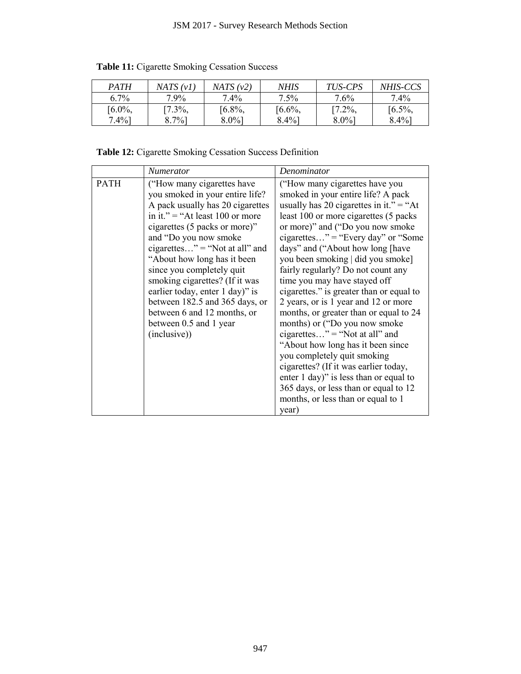| <i>PATH</i> | NATS (v1)  | NATS (v2) | NHIS      | TUS-CPS   | <i>NHIS-CCS</i> |
|-------------|------------|-----------|-----------|-----------|-----------------|
| 6.7%        | $7.9\%$    | $7.4\%$   | $7.5\%$   | $7.6\%$   | 7.4%            |
| $[6.0\%,$   | $17.3\%$ , | $[6.8\%,$ | $[6.6\%,$ | $[7.2\%,$ | $[6.5\%,$       |
| $7.4\%$ ]   | $8.7\%$ ]  | $8.0\%$ ] | $8.4\%$   | $8.0\%$ ] | $8.4\%$ ]       |

**Table 11:** Cigarette Smoking Cessation Success

| 6.7%<br>7.4%<br>7.5%<br>7.6%<br>7.9%<br>7.4%<br>$[6.8\%,$<br>$[7.2\%,$<br>$[6.0\%,$<br>$[7.3\%,$<br>$[6.6\%,$<br>$[6.5\%,$<br>$7.4\%$ ]<br>$8.0\%$ ]<br>$8.4\%$ ]<br>$8.7\%$<br>$8.4\%$ ]<br>$8.0\%$ ]<br><b>Table 12:</b> Cigarette Smoking Cessation Success Definition<br><b>Numerator</b><br>Denominator<br><b>PATH</b><br>("How many cigarettes have<br>("How many cigarettes have you<br>smoked in your entire life? A pack<br>you smoked in your entire life?<br>A pack usually has 20 cigarettes<br>usually has 20 cigarettes in it." = "At<br>in it." = "At least 100 or more<br>least 100 or more cigarettes (5 packs)<br>cigarettes (5 packs or more)"<br>or more)" and ("Do you now smoke<br>and "Do you now smoke<br>cigarettes" = "Not at all" and<br>days" and ("About how long [have<br>"About how long has it been<br>you been smoking   did you smoke]<br>since you completely quit<br>fairly regularly? Do not count any<br>smoking cigarettes? (If it was<br>time you may have stayed off<br>cigarettes." is greater than or equal to<br>earlier today, enter 1 day)" is<br>2 years, or is 1 year and 12 or more<br>between 182.5 and 365 days, or<br>months, or greater than or equal to 24<br>between 6 and 12 months, or<br>between 0.5 and 1 year<br>months) or ("Do you now smoke<br>cigarettes" = "Not at all" and<br>(inclusive))<br>"About how long has it been since<br>you completely quit smoking<br>cigarettes? (If it was earlier today,<br>enter 1 day)" is less than or equal to<br>365 days, or less than or equal to 12<br>months, or less than or equal to 1 | cigarettes" = "Every day" or "Some"<br>year) |  |  |  |
|----------------------------------------------------------------------------------------------------------------------------------------------------------------------------------------------------------------------------------------------------------------------------------------------------------------------------------------------------------------------------------------------------------------------------------------------------------------------------------------------------------------------------------------------------------------------------------------------------------------------------------------------------------------------------------------------------------------------------------------------------------------------------------------------------------------------------------------------------------------------------------------------------------------------------------------------------------------------------------------------------------------------------------------------------------------------------------------------------------------------------------------------------------------------------------------------------------------------------------------------------------------------------------------------------------------------------------------------------------------------------------------------------------------------------------------------------------------------------------------------------------------------------------------------------------------------------------------------------|----------------------------------------------|--|--|--|
|                                                                                                                                                                                                                                                                                                                                                                                                                                                                                                                                                                                                                                                                                                                                                                                                                                                                                                                                                                                                                                                                                                                                                                                                                                                                                                                                                                                                                                                                                                                                                                                                    |                                              |  |  |  |
|                                                                                                                                                                                                                                                                                                                                                                                                                                                                                                                                                                                                                                                                                                                                                                                                                                                                                                                                                                                                                                                                                                                                                                                                                                                                                                                                                                                                                                                                                                                                                                                                    |                                              |  |  |  |
|                                                                                                                                                                                                                                                                                                                                                                                                                                                                                                                                                                                                                                                                                                                                                                                                                                                                                                                                                                                                                                                                                                                                                                                                                                                                                                                                                                                                                                                                                                                                                                                                    |                                              |  |  |  |
|                                                                                                                                                                                                                                                                                                                                                                                                                                                                                                                                                                                                                                                                                                                                                                                                                                                                                                                                                                                                                                                                                                                                                                                                                                                                                                                                                                                                                                                                                                                                                                                                    |                                              |  |  |  |
|                                                                                                                                                                                                                                                                                                                                                                                                                                                                                                                                                                                                                                                                                                                                                                                                                                                                                                                                                                                                                                                                                                                                                                                                                                                                                                                                                                                                                                                                                                                                                                                                    |                                              |  |  |  |
|                                                                                                                                                                                                                                                                                                                                                                                                                                                                                                                                                                                                                                                                                                                                                                                                                                                                                                                                                                                                                                                                                                                                                                                                                                                                                                                                                                                                                                                                                                                                                                                                    |                                              |  |  |  |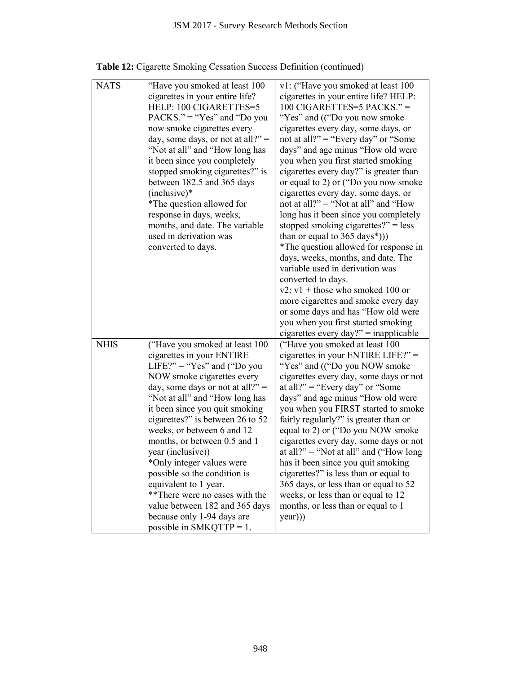|             | JSM 2017 - Survey Research Methods Section                                                                                                                                                                                                                                                                                                                                                                                                                                                                                                                                         |                                                                                                                                                                                                                                                                                                                                                                                                                                                                                                                                                                                                                                                                                                                                                                                                                                                                                                                                                |
|-------------|------------------------------------------------------------------------------------------------------------------------------------------------------------------------------------------------------------------------------------------------------------------------------------------------------------------------------------------------------------------------------------------------------------------------------------------------------------------------------------------------------------------------------------------------------------------------------------|------------------------------------------------------------------------------------------------------------------------------------------------------------------------------------------------------------------------------------------------------------------------------------------------------------------------------------------------------------------------------------------------------------------------------------------------------------------------------------------------------------------------------------------------------------------------------------------------------------------------------------------------------------------------------------------------------------------------------------------------------------------------------------------------------------------------------------------------------------------------------------------------------------------------------------------------|
|             | <b>Table 12:</b> Cigarette Smoking Cessation Success Definition (continued)                                                                                                                                                                                                                                                                                                                                                                                                                                                                                                        |                                                                                                                                                                                                                                                                                                                                                                                                                                                                                                                                                                                                                                                                                                                                                                                                                                                                                                                                                |
| <b>NATS</b> | "Have you smoked at least 100<br>cigarettes in your entire life?<br>HELP: 100 CIGARETTES=5<br>$PACKS." = "Yes"$ and "Do you<br>now smoke cigarettes every<br>day, some days, or not at all?" =<br>"Not at all" and "How long has<br>it been since you completely<br>stopped smoking cigarettes?" is<br>between 182.5 and 365 days<br>$(inclusive)*$<br>*The question allowed for<br>response in days, weeks,<br>months, and date. The variable<br>used in derivation was<br>converted to days.                                                                                     | v1: ("Have you smoked at least 100<br>cigarettes in your entire life? HELP:<br>100 CIGARETTES=5 PACKS." =<br>"Yes" and (("Do you now smoke<br>cigarettes every day, some days, or<br>not at all?" = "Every day" or "Some"<br>days" and age minus "How old were<br>you when you first started smoking<br>cigarettes every day?" is greater than<br>or equal to 2) or ("Do you now smoke<br>cigarettes every day, some days, or<br>not at all?" = "Not at all" and "How<br>long has it been since you completely<br>stopped smoking cigarettes?" = less<br>than or equal to $365 \text{ days}^*$ ))<br>*The question allowed for response in<br>days, weeks, months, and date. The<br>variable used in derivation was<br>converted to days.<br>$v2$ : $v1 +$ those who smoked 100 or<br>more cigarettes and smoke every day<br>or some days and has "How old were<br>you when you first started smoking<br>cigarettes every day?" = inapplicable |
| <b>NHIS</b> | ("Have you smoked at least 100<br>cigarettes in your ENTIRE<br>LIFE?" = " $Yes$ " and ("Do you<br>NOW smoke cigarettes every<br>day, some days or not at all?" =<br>"Not at all" and "How long has<br>it been since you quit smoking<br>cigarettes?" is between 26 to 52<br>weeks, or between 6 and 12<br>months, or between 0.5 and 1<br>year (inclusive))<br>*Only integer values were<br>possible so the condition is<br>equivalent to 1 year.<br>**There were no cases with the<br>value between 182 and 365 days<br>because only 1-94 days are<br>possible in SMKQTTP = $1$ . | ("Have you smoked at least 100<br>cigarettes in your ENTIRE LIFE?" $=$<br>"Yes" and (("Do you NOW smoke"<br>cigarettes every day, some days or not<br>at all?" = "Every day" or "Some<br>days" and age minus "How old were<br>you when you FIRST started to smoke<br>fairly regularly?" is greater than or<br>equal to 2) or ("Do you NOW smoke<br>cigarettes every day, some days or not<br>at all?" = "Not at all" and ("How long"<br>has it been since you quit smoking<br>cigarettes?" is less than or equal to<br>365 days, or less than or equal to 52<br>weeks, or less than or equal to 12<br>months, or less than or equal to 1<br>(year))                                                                                                                                                                                                                                                                                            |
|             | 948                                                                                                                                                                                                                                                                                                                                                                                                                                                                                                                                                                                |                                                                                                                                                                                                                                                                                                                                                                                                                                                                                                                                                                                                                                                                                                                                                                                                                                                                                                                                                |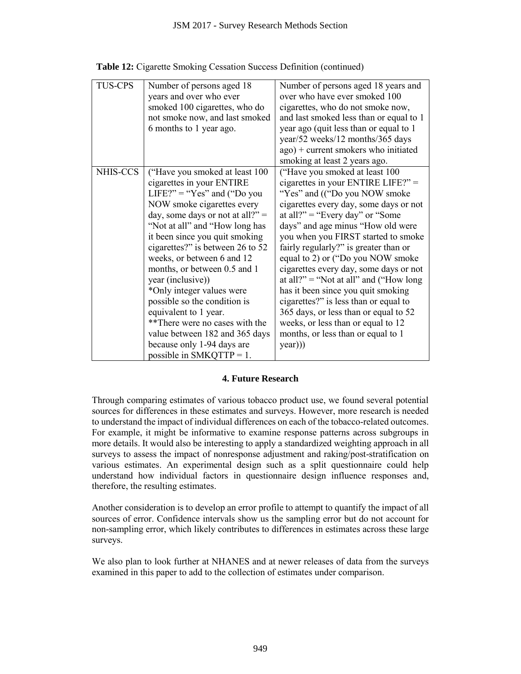|                | JSM 2017 - Survey Research Methods Section                                                                                                                                                                                                                                                                                                                                                                                                                                                                                                                                         |                                                                                                                                                                                                                                                                                                                                                                                                                                                                                                                                                                                                                                                                                                                                                    |
|----------------|------------------------------------------------------------------------------------------------------------------------------------------------------------------------------------------------------------------------------------------------------------------------------------------------------------------------------------------------------------------------------------------------------------------------------------------------------------------------------------------------------------------------------------------------------------------------------------|----------------------------------------------------------------------------------------------------------------------------------------------------------------------------------------------------------------------------------------------------------------------------------------------------------------------------------------------------------------------------------------------------------------------------------------------------------------------------------------------------------------------------------------------------------------------------------------------------------------------------------------------------------------------------------------------------------------------------------------------------|
|                | <b>Table 12:</b> Cigarette Smoking Cessation Success Definition (continued)                                                                                                                                                                                                                                                                                                                                                                                                                                                                                                        |                                                                                                                                                                                                                                                                                                                                                                                                                                                                                                                                                                                                                                                                                                                                                    |
| <b>TUS-CPS</b> | Number of persons aged 18<br>years and over who ever<br>smoked 100 cigarettes, who do<br>not smoke now, and last smoked<br>6 months to 1 year ago.                                                                                                                                                                                                                                                                                                                                                                                                                                 | Number of persons aged 18 years and<br>over who have ever smoked 100<br>cigarettes, who do not smoke now,<br>and last smoked less than or equal to 1<br>year ago (quit less than or equal to 1)<br>year/52 weeks/12 months/365 days<br>ago) + current smokers who initiated<br>smoking at least 2 years ago.                                                                                                                                                                                                                                                                                                                                                                                                                                       |
| NHIS-CCS       | ("Have you smoked at least 100<br>cigarettes in your ENTIRE<br>LIFE?" = " $Yes$ " and ("Do you<br>NOW smoke cigarettes every<br>day, some days or not at all?" =<br>"Not at all" and "How long has<br>it been since you quit smoking<br>cigarettes?" is between 26 to 52<br>weeks, or between 6 and 12<br>months, or between 0.5 and 1<br>year (inclusive))<br>*Only integer values were<br>possible so the condition is<br>equivalent to 1 year.<br>**There were no cases with the<br>value between 182 and 365 days<br>because only 1-94 days are<br>possible in SMKQTTP = $1$ . | ("Have you smoked at least 100<br>cigarettes in your ENTIRE LIFE?" =<br>"Yes" and (("Do you NOW smoke<br>cigarettes every day, some days or not<br>at all?" = "Every day" or "Some<br>days" and age minus "How old were<br>you when you FIRST started to smoke<br>fairly regularly?" is greater than or<br>equal to 2) or ("Do you NOW smoke"<br>cigarettes every day, some days or not<br>at all?" = "Not at all" and ("How long<br>has it been since you quit smoking<br>cigarettes?" is less than or equal to<br>365 days, or less than or equal to 52<br>weeks, or less than or equal to 12<br>months, or less than or equal to 1<br>year))                                                                                                    |
|                | <b>4. Future Research</b>                                                                                                                                                                                                                                                                                                                                                                                                                                                                                                                                                          |                                                                                                                                                                                                                                                                                                                                                                                                                                                                                                                                                                                                                                                                                                                                                    |
|                | therefore, the resulting estimates.                                                                                                                                                                                                                                                                                                                                                                                                                                                                                                                                                | Through comparing estimates of various tobacco product use, we found several potential<br>sources for differences in these estimates and surveys. However, more research is needed<br>to understand the impact of individual differences on each of the tobacco-related outcomes.<br>For example, it might be informative to examine response patterns across subgroups in<br>more details. It would also be interesting to apply a standardized weighting approach in all<br>surveys to assess the impact of nonresponse adjustment and raking/post-stratification on<br>various estimates. An experimental design such as a split questionnaire could help<br>understand how individual factors in questionnaire design influence responses and, |
| surveys.       |                                                                                                                                                                                                                                                                                                                                                                                                                                                                                                                                                                                    | Another consideration is to develop an error profile to attempt to quantify the impact of all<br>sources of error. Confidence intervals show us the sampling error but do not account for<br>non-sampling error, which likely contributes to differences in estimates across these large                                                                                                                                                                                                                                                                                                                                                                                                                                                           |
|                | examined in this paper to add to the collection of estimates under comparison.                                                                                                                                                                                                                                                                                                                                                                                                                                                                                                     | We also plan to look further at NHANES and at newer releases of data from the surveys                                                                                                                                                                                                                                                                                                                                                                                                                                                                                                                                                                                                                                                              |
|                |                                                                                                                                                                                                                                                                                                                                                                                                                                                                                                                                                                                    |                                                                                                                                                                                                                                                                                                                                                                                                                                                                                                                                                                                                                                                                                                                                                    |
|                |                                                                                                                                                                                                                                                                                                                                                                                                                                                                                                                                                                                    |                                                                                                                                                                                                                                                                                                                                                                                                                                                                                                                                                                                                                                                                                                                                                    |
|                | 949                                                                                                                                                                                                                                                                                                                                                                                                                                                                                                                                                                                |                                                                                                                                                                                                                                                                                                                                                                                                                                                                                                                                                                                                                                                                                                                                                    |

|  |  | Table 12: Cigarette Smoking Cessation Success Definition (continued) |  |
|--|--|----------------------------------------------------------------------|--|
|  |  |                                                                      |  |
|  |  |                                                                      |  |

## **4. Future Research**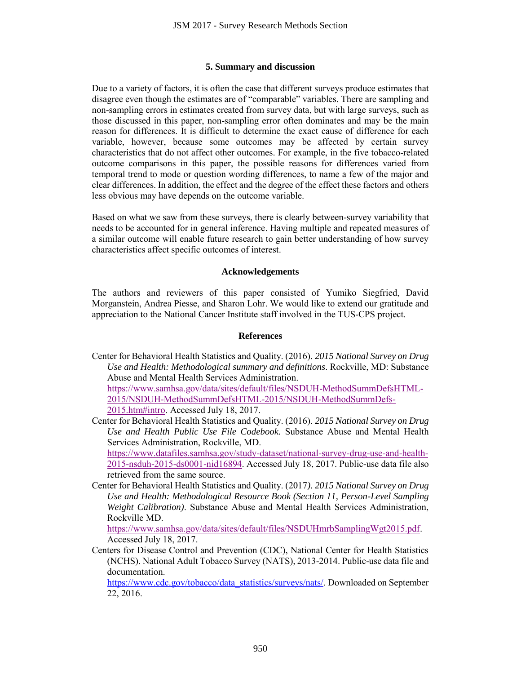#### **5. Summary and discussion**

Due to a variety of factors, it is often the case that different surveys produce estimates that disagree even though the estimates are of "comparable" variables. There are sampling and non-sampling errors in estimates created from survey data, but with large surveys, such as those discussed in this paper, non-sampling error often dominates and may be the main reason for differences. It is difficult to determine the exact cause of difference for each variable, however, because some outcomes may be affected by certain survey characteristics that do not affect other outcomes. For example, in the five tobacco-related outcome comparisons in this paper, the possible reasons for differences varied from temporal trend to mode or question wording differences, to name a few of the major and clear differences. In addition, the effect and the degree of the effect these factors and others less obvious may have depends on the outcome variable. JSM 2017 - Survey Research Methods Section<br>
5. Summary and discussion<br>
100005. The stimals created for surveys the estimates created from surveys and the case that different surveys the estimates created from survey data,

Based on what we saw from these surveys, there is clearly between-survey variability that needs to be accounted for in general inference. Having multiple and repeated measures of a similar outcome will enable future research to gain better understanding of how survey characteristics affect specific outcomes of interest.

#### **Acknowledgements**

The authors and reviewers of this paper consisted of Yumiko Siegfried, David Morganstein, Andrea Piesse, and Sharon Lohr. We would like to extend our gratitude and appreciation to the National Cancer Institute staff involved in the TUS-CPS project.

#### **References**

Center for Behavioral Health Statistics and Quality. (2016). *2015 National Survey on Drug Use and Health: Methodological summary and definitions*. Rockville, MD: Substance Abuse and Mental Health Services Administration. [https://www.samhsa.gov/data/sites/default/files/NSDUH-MethodSummDefsHTML-](https://www.samhsa.gov/data/sites/default/files/NSDUH-MethodSummDefsHTML-2015/NSDUH-MethodSummDefsHTML-2015/NSDUH-MethodSummDefs-2015.htm#intro)[2015/NSDUH-MethodSummDefsHTML-2015/NSDUH-MethodSummDefs-](https://www.samhsa.gov/data/sites/default/files/NSDUH-MethodSummDefsHTML-2015/NSDUH-MethodSummDefsHTML-2015/NSDUH-MethodSummDefs-2015.htm#intro)

[2015.htm#intro.](https://www.samhsa.gov/data/sites/default/files/NSDUH-MethodSummDefsHTML-2015/NSDUH-MethodSummDefsHTML-2015/NSDUH-MethodSummDefs-2015.htm#intro) Accessed July 18, 2017.

Center for Behavioral Health Statistics and Quality. (2016). *2015 National Survey on Drug Use and Health Public Use File Codebook.* Substance Abuse and Mental Health Services Administration, Rockville, MD. [https://www.datafiles.samhsa.gov/study-dataset/national-survey-drug-use-and-health-](https://www.datafiles.samhsa.gov/study-dataset/national-survey-drug-use-and-health-2015-nsduh-2015-ds0001-nid16894)

[2015-nsduh-2015-ds0001-nid16894.](https://www.datafiles.samhsa.gov/study-dataset/national-survey-drug-use-and-health-2015-nsduh-2015-ds0001-nid16894) Accessed July 18, 2017. Public-use data file also retrieved from the same source.

Center for Behavioral Health Statistics and Quality. (2017*). 2015 National Survey on Drug Use and Health: Methodological Resource Book (Section 11, Person-Level Sampling Weight Calibration)*. Substance Abuse and Mental Health Services Administration, Rockville MD.

[https://www.samhsa.gov/data/sites/default/files/NSDUHmrbSamplingWgt2015.pdf.](https://www.samhsa.gov/data/sites/default/files/NSDUHmrbSamplingWgt2015.pdf) Accessed July 18, 2017.

Centers for Disease Control and Prevention (CDC), National Center for Health Statistics (NCHS). National Adult Tobacco Survey (NATS), 2013-2014. Public-use data file and documentation.

[https://www.cdc.gov/tobacco/data\\_statistics/surveys/nats/.](https://www.cdc.gov/tobacco/data_statistics/surveys/nats/) Downloaded on September 22, 2016.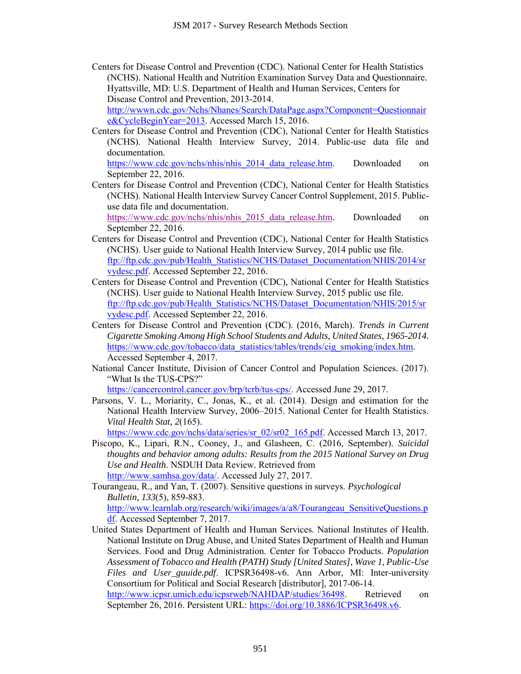Centers for Disease Control and Prevention (CDC). National Center for Health Statistics (NCHS). National Health and Nutrition Examination Survey Data and Questionnaire*.* Hyattsville, MD: U.S. Department of Health and Human Services, Centers for Disease Control and Prevention, 2013-2014.

[http://wwwn.cdc.gov/Nchs/Nhanes/Search/DataPage.aspx?Component=Questionnair](http://wwwn.cdc.gov/Nchs/Nhanes/Search/DataPage.aspx?Component=Questionnaire&CycleBeginYear=2013) [e&CycleBeginYear=2013.](http://wwwn.cdc.gov/Nchs/Nhanes/Search/DataPage.aspx?Component=Questionnaire&CycleBeginYear=2013) Accessed March 15, 2016.

Centers for Disease Control and Prevention (CDC), National Center for Health Statistics (NCHS). National Health Interview Survey, 2014. Public-use data file and documentation.

[https://www.cdc.gov/nchs/nhis/nhis\\_2014\\_data\\_release.htm.](https://www.cdc.gov/nchs/nhis/nhis_2014_data_release.htm) Downloaded on September 22, 2016.

Centers for Disease Control and Prevention (CDC), National Center for Health Statistics (NCHS). National Health Interview Survey Cancer Control Supplement, 2015. Publicuse data file and documentation.

[https://www.cdc.gov/nchs/nhis/nhis\\_2015\\_data\\_release.htm.](https://www.cdc.gov/nchs/nhis/nhis_2015_data_release.htm) Downloaded on September 22, 2016.

- Centers for Disease Control and Prevention (CDC), National Center for Health Statistics (NCHS). User guide to National Health Interview Survey, 2014 public use file. [ftp://ftp.cdc.gov/pub/Health\\_Statistics/NCHS/Dataset\\_Documentation/NHIS/2014/sr](ftp://ftp.cdc.gov/pub/Health_Statistics/NCHS/Dataset_Documentation/NHIS/2014/srvydesc.pdf) [vydesc.pdf.](ftp://ftp.cdc.gov/pub/Health_Statistics/NCHS/Dataset_Documentation/NHIS/2014/srvydesc.pdf) Accessed September 22, 2016.
- Centers for Disease Control and Prevention (CDC), National Center for Health Statistics (NCHS). User guide to National Health Interview Survey, 2015 public use file. [ftp://ftp.cdc.gov/pub/Health\\_Statistics/NCHS/Dataset\\_Documentation/NHIS/2015/sr](ftp://ftp.cdc.gov/pub/Health_Statistics/NCHS/Dataset_Documentation/NHIS/2015/srvydesc.pdf) [vydesc.pdf.](ftp://ftp.cdc.gov/pub/Health_Statistics/NCHS/Dataset_Documentation/NHIS/2015/srvydesc.pdf) Accessed September 22, 2016.
- Centers for Disease Control and Prevention (CDC). (2016, March). *Trends in Current Cigarette Smoking Among High School Students and Adults, United States, 1965-2014.* [https://www.cdc.gov/tobacco/data\\_statistics/tables/trends/cig\\_smoking/index.htm.](https://www.cdc.gov/tobacco/data_statistics/tables/trends/cig_smoking/index.htm) Accessed September 4, 2017.
- National Cancer Institute, Division of Cancer Control and Population Sciences. (2017). "What Is the TUS-CPS?"

[https://cancercontrol.cancer.gov/brp/tcrb/tus-cps/.](https://cancercontrol.cancer.gov/brp/tcrb/tus-cps/) Accessed June 29, 2017.

Parsons, V. L., Moriarity, C., Jonas, K., et al. (2014). Design and estimation for the National Health Interview Survey, 2006–2015. National Center for Health Statistics. *Vital Health Stat, 2*(165).

[https://www.cdc.gov/nchs/data/series/sr\\_02/sr02\\_165.pdf.](https://www.cdc.gov/nchs/data/series/sr_02/sr02_165.pdf) Accessed March 13, 2017.

Piscopo, K., Lipari, R.N., Cooney, J., and Glasheen, C. (2016, September). *Suicidal thoughts and behavior among adults: Results from the 2015 National Survey on Drug Use and Health*. NSDUH Data Review*.* Retrieved from [http://www.samhsa.gov/data/.](http://www.samhsa.gov/data/) Accessed July 27, 2017.

Tourangeau, R., and Yan, T. (2007). Sensitive questions in surveys. *Psychological Bulletin, 133*(5), 859-883. [http://www.learnlab.org/research/wiki/images/a/a8/Tourangeau\\_SensitiveQuestions.p](http://www.learnlab.org/research/wiki/images/a/a8/Tourangeau_SensitiveQuestions.pdf) [df.](http://www.learnlab.org/research/wiki/images/a/a8/Tourangeau_SensitiveQuestions.pdf) Accessed September 7, 2017.

United States Department of Health and Human Services. National Institutes of Health. National Institute on Drug Abuse, and United States Department of Health and Human Services. Food and Drug Administration. Center for Tobacco Products. *Population Assessment of Tobacco and Health (PATH) Study [United States], Wave 1, Public-Use Files and User\_guuide.pdf*. ICPSR36498-v6. Ann Arbor, MI: Inter-university Consortium for Political and Social Research [distributor], 2017-06-14. JSM 2017 - Survey Research Methods Section<br>
ontrol and Prevention (CDC). National Center<br>
Hetalth and Nutrition Examination Survey Da<br>
U.S. Department of Health and Human Service<br>
ON SURMENS ManceSSearch DataPage. aspx?Com

[http://www.icpsr.umich.edu/icpsrweb/NAHDAP/studies/36498.](http://www.icpsr.umich.edu/icpsrweb/NAHDAP/studies/36498) Retrieved on September 26, 2016. Persistent URL: [https://doi.org/10.3886/ICPSR36498.v6.](https://doi.org/10.3886/ICPSR36498.v6)